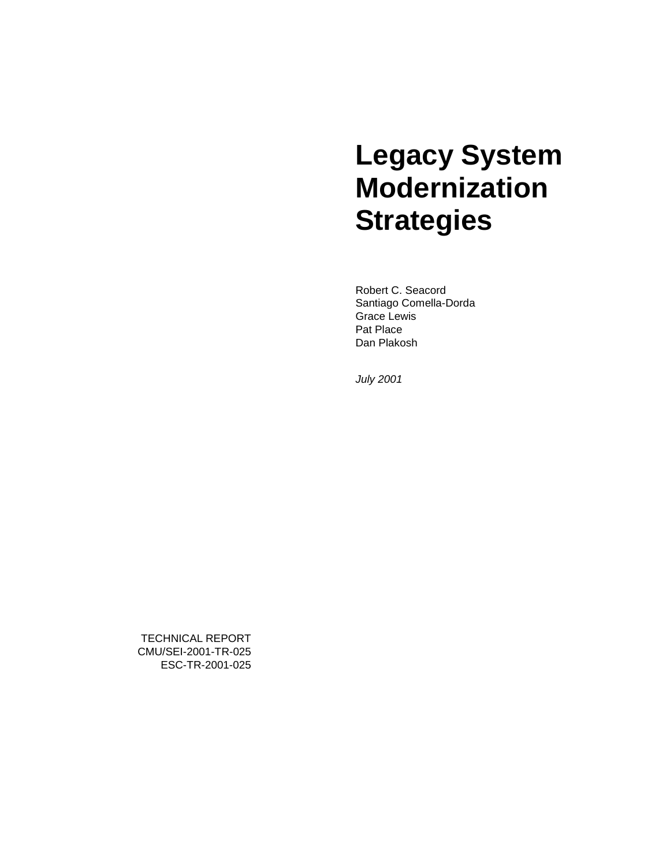# **Legacy System Modernization Strategies**

Robert C. Seacord Santiago Comella-Dorda Grace Lewis Pat Place Dan Plakosh

*July 2001* 

TECHNICAL REPORT CMU/SEI-2001-TR-025 ESC-TR-2001-025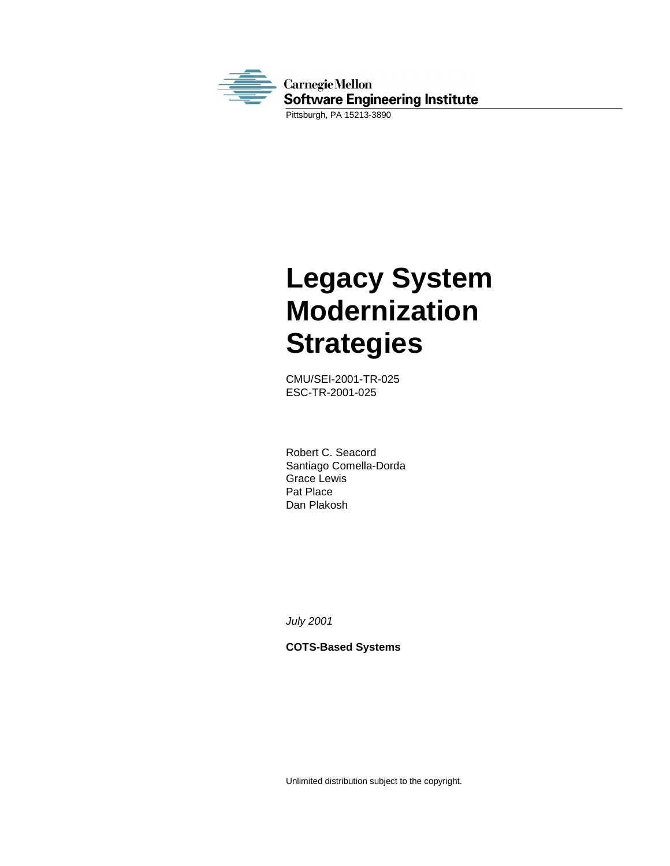

Pittsburgh, PA 15213-3890

# **Legacy System Modernization Strategies**

CMU/SEI-2001-TR-025 ESC-TR-2001-025

Robert C. Seacord Santiago Comella-Dorda Grace Lewis Pat Place Dan Plakosh

*July 2001* 

**COTS-Based Systems** 

Unlimited distribution subject to the copyright.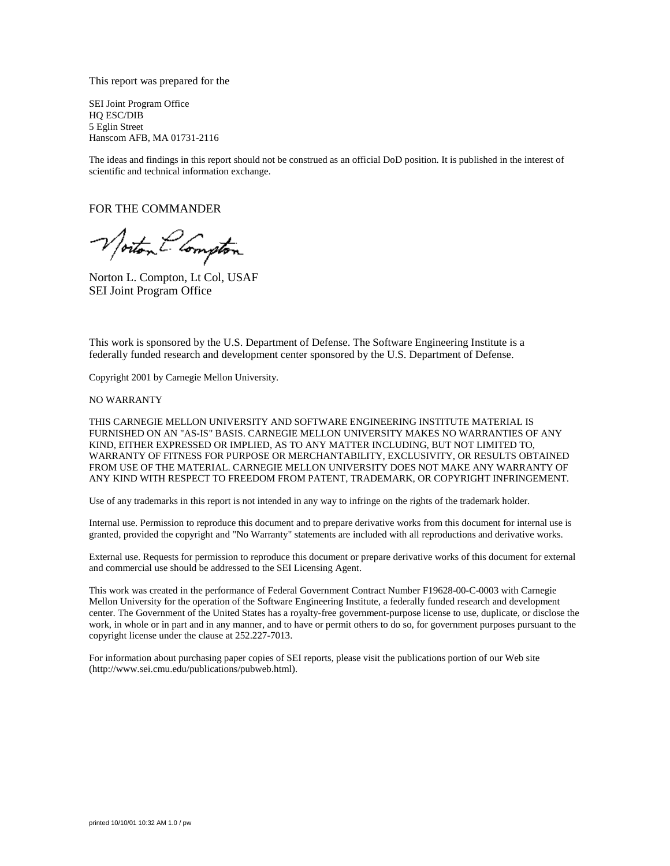This report was prepared for the

SEI Joint Program Office HQ ESC/DIB 5 Eglin Street Hanscom AFB, MA 01731-2116

The ideas and findings in this report should not be construed as an official DoD position. It is published in the interest of scientific and technical information exchange.

#### FOR THE COMMANDER

Norton & Compton

Norton L. Compton, Lt Col, USAF SEI Joint Program Office

This work is sponsored by the U.S. Department of Defense. The Software Engineering Institute is a federally funded research and development center sponsored by the U.S. Department of Defense.

Copyright 2001 by Carnegie Mellon University.

#### NO WARRANTY

THIS CARNEGIE MELLON UNIVERSITY AND SOFTWARE ENGINEERING INSTITUTE MATERIAL IS FURNISHED ON AN "AS-IS" BASIS. CARNEGIE MELLON UNIVERSITY MAKES NO WARRANTIES OF ANY KIND, EITHER EXPRESSED OR IMPLIED, AS TO ANY MATTER INCLUDING, BUT NOT LIMITED TO, WARRANTY OF FITNESS FOR PURPOSE OR MERCHANTABILITY, EXCLUSIVITY, OR RESULTS OBTAINED FROM USE OF THE MATERIAL. CARNEGIE MELLON UNIVERSITY DOES NOT MAKE ANY WARRANTY OF ANY KIND WITH RESPECT TO FREEDOM FROM PATENT, TRADEMARK, OR COPYRIGHT INFRINGEMENT.

Use of any trademarks in this report is not intended in any way to infringe on the rights of the trademark holder.

Internal use. Permission to reproduce this document and to prepare derivative works from this document for internal use is granted, provided the copyright and "No Warranty" statements are included with all reproductions and derivative works.

External use. Requests for permission to reproduce this document or prepare derivative works of this document for external and commercial use should be addressed to the SEI Licensing Agent.

This work was created in the performance of Federal Government Contract Number F19628-00-C-0003 with Carnegie Mellon University for the operation of the Software Engineering Institute, a federally funded research and development center. The Government of the United States has a royalty-free government-purpose license to use, duplicate, or disclose the work, in whole or in part and in any manner, and to have or permit others to do so, for government purposes pursuant to the copyright license under the clause at 252.227-7013.

For information about purchasing paper copies of SEI reports, please visit the publications portion of our Web site (http://www.sei.cmu.edu/publications/pubweb.html).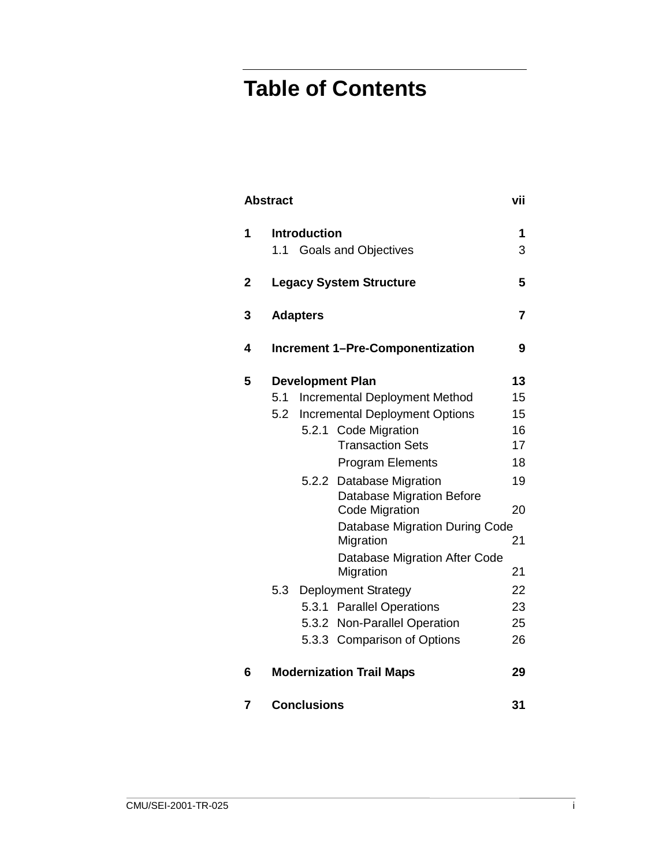## **Table of Contents**

|              | <b>Abstract</b> |                     |                                                               | vii    |
|--------------|-----------------|---------------------|---------------------------------------------------------------|--------|
| 1            |                 | <b>Introduction</b> | 1.1 Goals and Objectives                                      | 1<br>3 |
| $\mathbf{2}$ |                 |                     | <b>Legacy System Structure</b>                                | 5      |
| 3            |                 | <b>Adapters</b>     |                                                               | 7      |
| 4            |                 |                     | <b>Increment 1-Pre-Componentization</b>                       | 9      |
| 5            |                 |                     | <b>Development Plan</b>                                       | 13     |
|              | 5.1             |                     | Incremental Deployment Method                                 | 15     |
|              | 5.2             |                     | <b>Incremental Deployment Options</b>                         | 15     |
|              |                 |                     | 5.2.1 Code Migration                                          | 16     |
|              |                 |                     | <b>Transaction Sets</b>                                       | 17     |
|              |                 |                     | <b>Program Elements</b>                                       | 18     |
|              |                 | 5.2.2               | <b>Database Migration</b><br><b>Database Migration Before</b> | 19     |
|              |                 |                     | <b>Code Migration</b>                                         | 20     |
|              |                 |                     | Database Migration During Code                                |        |
|              |                 |                     | Migration                                                     | 21     |
|              |                 |                     | Database Migration After Code<br>Migration                    | 21     |
|              | 5.3             |                     | <b>Deployment Strategy</b>                                    | 22     |
|              |                 |                     | 5.3.1 Parallel Operations                                     | 23     |
|              |                 |                     | 5.3.2 Non-Parallel Operation                                  | 25     |
|              |                 |                     | 5.3.3 Comparison of Options                                   | 26     |
| 6            |                 |                     | <b>Modernization Trail Maps</b>                               | 29     |
| 7            |                 | <b>Conclusions</b>  |                                                               | 31     |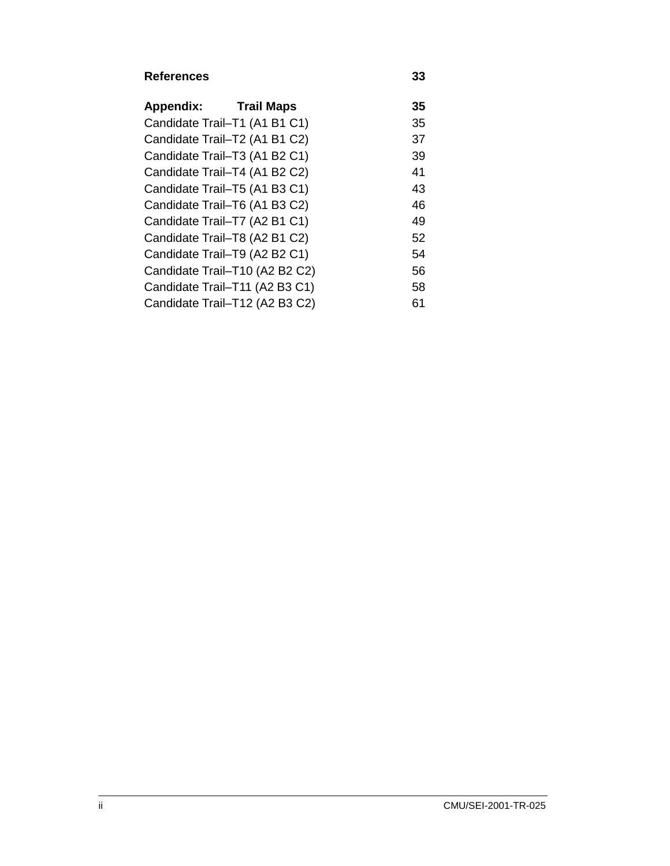#### **References 33**

| Appendix: Trail Maps |                                | 35 |
|----------------------|--------------------------------|----|
|                      | Candidate Trail-T1 (A1 B1 C1)  | 35 |
|                      | Candidate Trail-T2 (A1 B1 C2)  | 37 |
|                      | Candidate Trail-T3 (A1 B2 C1)  | 39 |
|                      | Candidate Trail-T4 (A1 B2 C2)  | 41 |
|                      | Candidate Trail-T5 (A1 B3 C1)  | 43 |
|                      | Candidate Trail-T6 (A1 B3 C2)  | 46 |
|                      | Candidate Trail-T7 (A2 B1 C1)  | 49 |
|                      | Candidate Trail-T8 (A2 B1 C2)  | 52 |
|                      | Candidate Trail-T9 (A2 B2 C1)  | 54 |
|                      | Candidate Trail-T10 (A2 B2 C2) | 56 |
|                      | Candidate Trail-T11 (A2 B3 C1) | 58 |
|                      | Candidate Trail-T12 (A2 B3 C2) | 61 |
|                      |                                |    |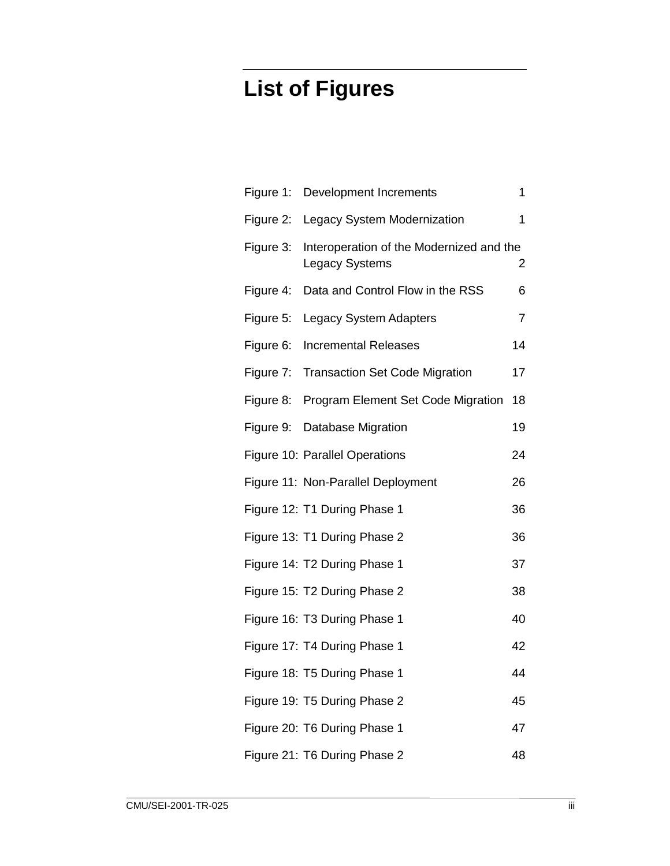## **List of Figures**

|           | Figure 1: Development Increments                           | 1              |
|-----------|------------------------------------------------------------|----------------|
| Figure 2: | <b>Legacy System Modernization</b>                         | 1              |
| Figure 3: | Interoperation of the Modernized and the<br>Legacy Systems | 2              |
| Figure 4: | Data and Control Flow in the RSS                           | 6              |
| Figure 5: | <b>Legacy System Adapters</b>                              | $\overline{7}$ |
| Figure 6: | <b>Incremental Releases</b>                                | 14             |
| Figure 7: | <b>Transaction Set Code Migration</b>                      | 17             |
| Figure 8: | Program Element Set Code Migration                         | 18             |
| Figure 9: | <b>Database Migration</b>                                  | 19             |
|           | Figure 10: Parallel Operations                             | 24             |
|           | Figure 11: Non-Parallel Deployment                         | 26             |
|           | Figure 12: T1 During Phase 1                               | 36             |
|           | Figure 13: T1 During Phase 2                               | 36             |
|           | Figure 14: T2 During Phase 1                               | 37             |
|           | Figure 15: T2 During Phase 2                               | 38             |
|           | Figure 16: T3 During Phase 1                               | 40             |
|           | Figure 17: T4 During Phase 1                               | 42             |
|           | Figure 18: T5 During Phase 1                               | 44             |
|           | Figure 19: T5 During Phase 2                               | 45             |
|           | Figure 20: T6 During Phase 1                               | 47             |
|           | Figure 21: T6 During Phase 2                               | 48             |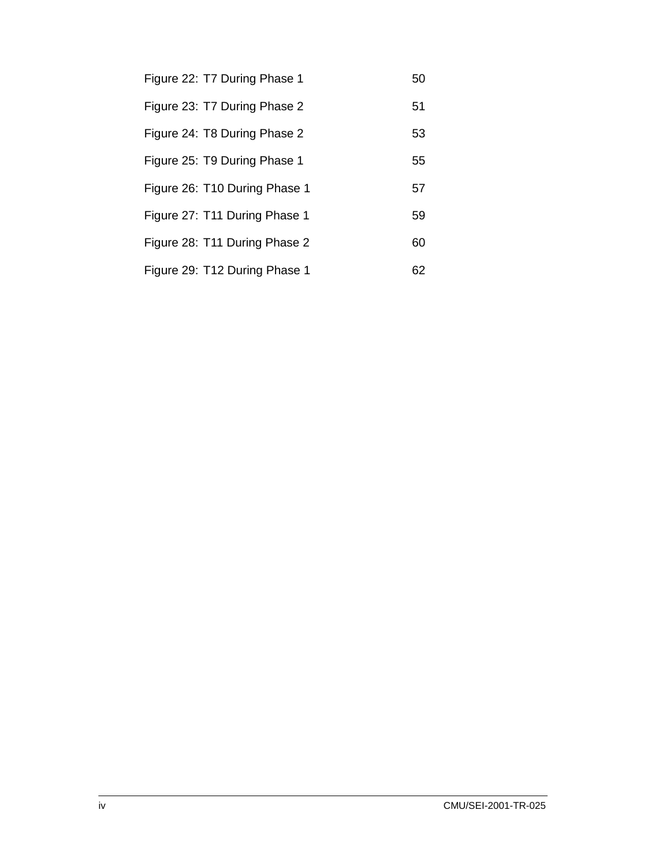- Figure 22: T7 During Phase 1 50
- Figure 23: T7 During Phase 2 51
- Figure 24: T8 During Phase 2 53
- Figure 25: T9 During Phase 1 55
- Figure 26: T10 During Phase 1 57
- Figure 27: T11 During Phase 1 59
- Figure 28: T11 During Phase 2 60
- Figure 29: T12 During Phase 1 62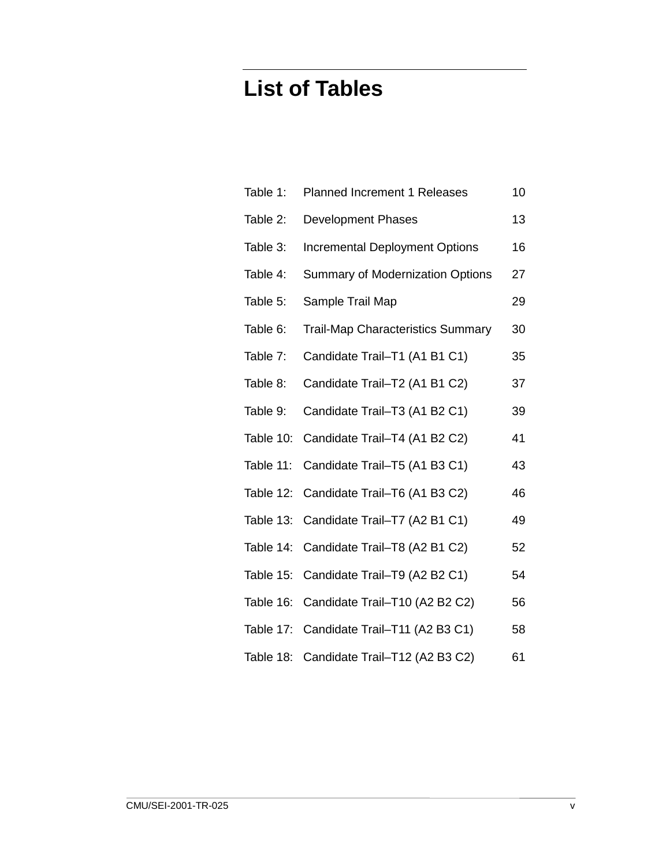## **List of Tables**

| Table 1:  | <b>Planned Increment 1 Releases</b>      | 10 |
|-----------|------------------------------------------|----|
| Table 2:  | <b>Development Phases</b>                | 13 |
| Table 3:  | <b>Incremental Deployment Options</b>    | 16 |
| Table 4:  | <b>Summary of Modernization Options</b>  | 27 |
| Table 5:  | Sample Trail Map                         | 29 |
| Table 6:  | <b>Trail-Map Characteristics Summary</b> | 30 |
| Table 7:  | Candidate Trail-T1 (A1 B1 C1)            | 35 |
| Table 8:  | Candidate Trail-T2 (A1 B1 C2)            | 37 |
| Table 9:  | Candidate Trail-T3 (A1 B2 C1)            | 39 |
| Table 10: | Candidate Trail-T4 (A1 B2 C2)            | 41 |
| Table 11: | Candidate Trail-T5 (A1 B3 C1)            | 43 |
| Table 12: | Candidate Trail-T6 (A1 B3 C2)            | 46 |
| Table 13: | Candidate Trail-T7 (A2 B1 C1)            | 49 |
| Table 14: | Candidate Trail-T8 (A2 B1 C2)            | 52 |
| Table 15: | Candidate Trail-T9 (A2 B2 C1)            | 54 |
| Table 16: | Candidate Trail-T10 (A2 B2 C2)           | 56 |
| Table 17: | Candidate Trail-T11 (A2 B3 C1)           | 58 |
| Table 18: | Candidate Trail-T12 (A2 B3 C2)           | 61 |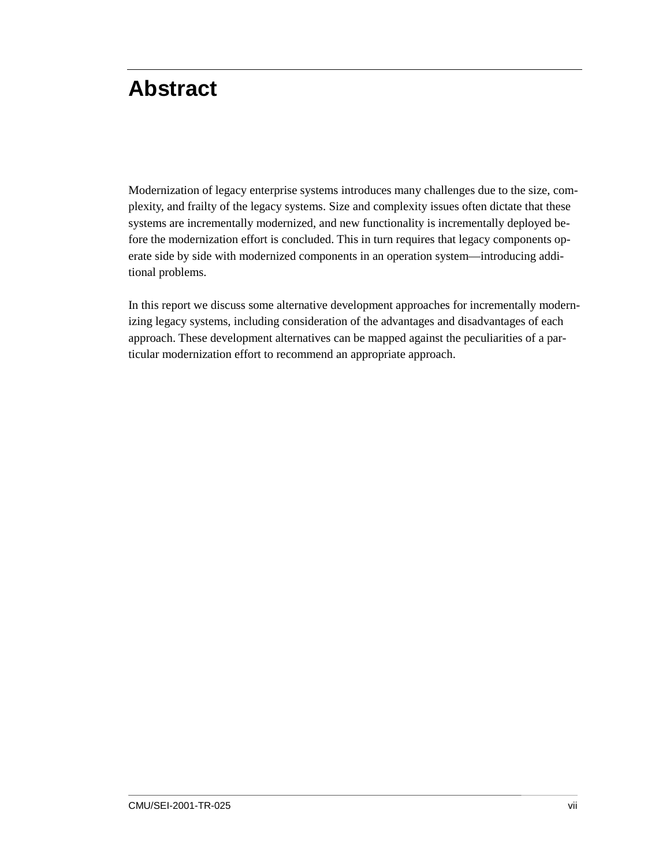## **Abstract**

Modernization of legacy enterprise systems introduces many challenges due to the size, complexity, and frailty of the legacy systems. Size and complexity issues often dictate that these systems are incrementally modernized, and new functionality is incrementally deployed before the modernization effort is concluded. This in turn requires that legacy components operate side by side with modernized components in an operation system—introducing additional problems.

In this report we discuss some alternative development approaches for incrementally modernizing legacy systems, including consideration of the advantages and disadvantages of each approach. These development alternatives can be mapped against the peculiarities of a particular modernization effort to recommend an appropriate approach.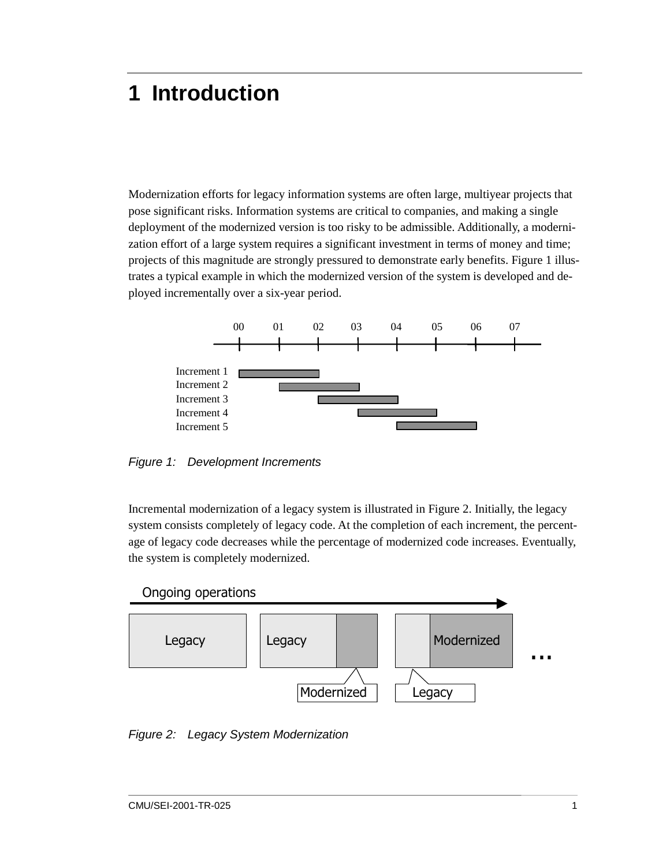### **1 Introduction**

Modernization efforts for legacy information systems are often large, multiyear projects that pose significant risks. Information systems are critical to companies, and making a single deployment of the modernized version is too risky to be admissible. Additionally, a modernization effort of a large system requires a significant investment in terms of money and time; projects of this magnitude are strongly pressured to demonstrate early benefits. Figure 1 illustrates a typical example in which the modernized version of the system is developed and deployed incrementally over a six-year period.



*Figure 1: Development Increments* 

Incremental modernization of a legacy system is illustrated in Figure 2. Initially, the legacy system consists completely of legacy code. At the completion of each increment, the percentage of legacy code decreases while the percentage of modernized code increases. Eventually, the system is completely modernized.



*Figure 2: Legacy System Modernization*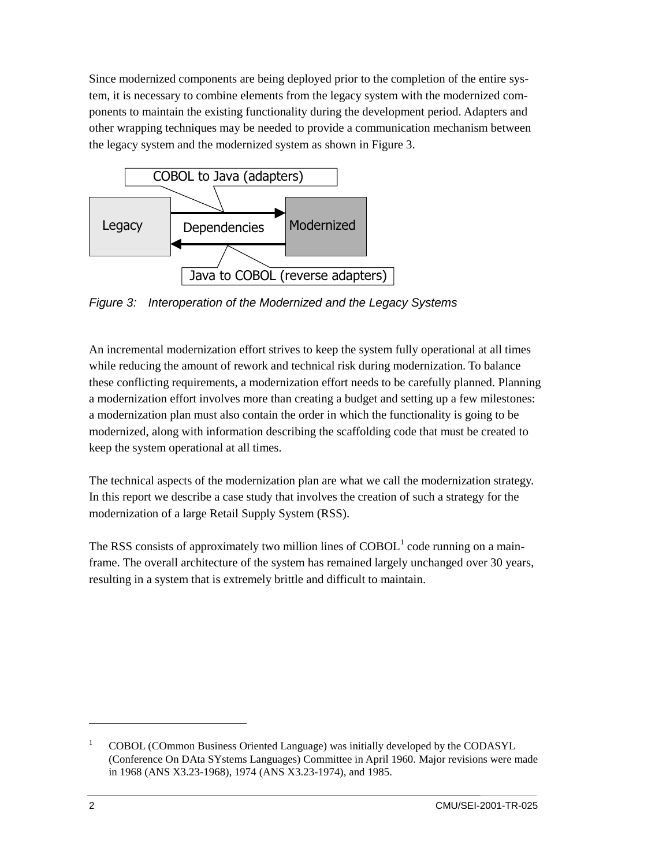Since modernized components are being deployed prior to the completion of the entire system, it is necessary to combine elements from the legacy system with the modernized components to maintain the existing functionality during the development period. Adapters and other wrapping techniques may be needed to provide a communication mechanism between the legacy system and the modernized system as shown in Figure 3.

![](_page_13_Figure_1.jpeg)

*Figure 3: Interoperation of the Modernized and the Legacy Systems* 

An incremental modernization effort strives to keep the system fully operational at all times while reducing the amount of rework and technical risk during modernization. To balance these conflicting requirements, a modernization effort needs to be carefully planned. Planning a modernization effort involves more than creating a budget and setting up a few milestones: a modernization plan must also contain the order in which the functionality is going to be modernized, along with information describing the scaffolding code that must be created to keep the system operational at all times.

The technical aspects of the modernization plan are what we call the modernization strategy. In this report we describe a case study that involves the creation of such a strategy for the modernization of a large Retail Supply System (RSS).

The RSS consists of approximately two million lines of  $\text{COBOL}^1$  code running on a mainframe. The overall architecture of the system has remained largely unchanged over 30 years, resulting in a system that is extremely brittle and difficult to maintain.

 $\overline{a}$ 

<sup>1</sup> COBOL (COmmon Business Oriented Language) was initially developed by the CODASYL (Conference On DAta SYstems Languages) Committee in April 1960. Major revisions were made in 1968 (ANS X3.23-1968), 1974 (ANS X3.23-1974), and 1985.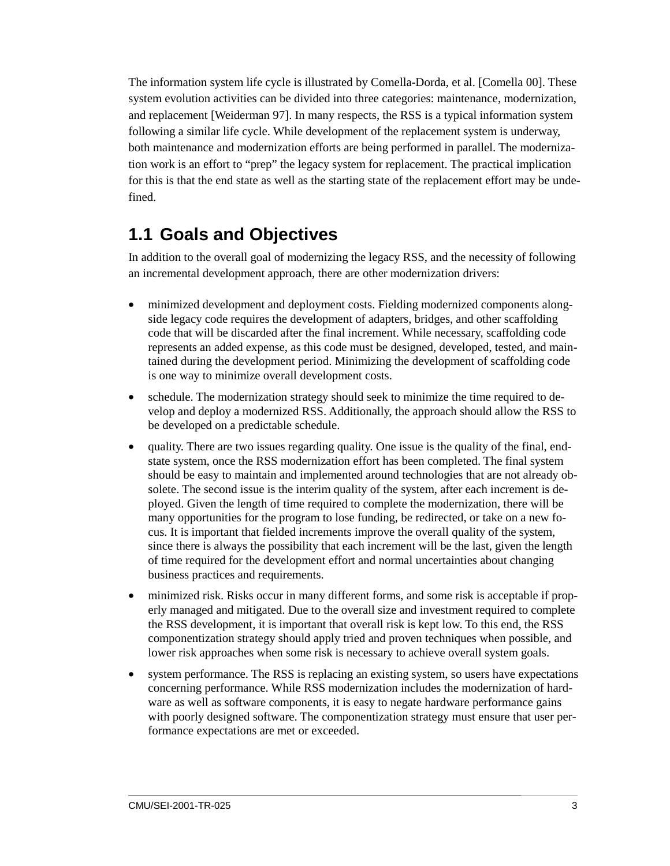The information system life cycle is illustrated by Comella-Dorda, et al. [Comella 00]. These system evolution activities can be divided into three categories: maintenance, modernization, and replacement [Weiderman 97]. In many respects, the RSS is a typical information system following a similar life cycle. While development of the replacement system is underway, both maintenance and modernization efforts are being performed in parallel. The modernization work is an effort to "prep" the legacy system for replacement. The practical implication for this is that the end state as well as the starting state of the replacement effort may be undefined.

### **1.1 Goals and Objectives**

In addition to the overall goal of modernizing the legacy RSS, and the necessity of following an incremental development approach, there are other modernization drivers:

- minimized development and deployment costs. Fielding modernized components alongside legacy code requires the development of adapters, bridges, and other scaffolding code that will be discarded after the final increment. While necessary, scaffolding code represents an added expense, as this code must be designed, developed, tested, and maintained during the development period. Minimizing the development of scaffolding code is one way to minimize overall development costs.
- schedule. The modernization strategy should seek to minimize the time required to develop and deploy a modernized RSS. Additionally, the approach should allow the RSS to be developed on a predictable schedule.
- quality. There are two issues regarding quality. One issue is the quality of the final, endstate system, once the RSS modernization effort has been completed. The final system should be easy to maintain and implemented around technologies that are not already obsolete. The second issue is the interim quality of the system, after each increment is deployed. Given the length of time required to complete the modernization, there will be many opportunities for the program to lose funding, be redirected, or take on a new focus. It is important that fielded increments improve the overall quality of the system, since there is always the possibility that each increment will be the last, given the length of time required for the development effort and normal uncertainties about changing business practices and requirements.
- minimized risk. Risks occur in many different forms, and some risk is acceptable if properly managed and mitigated. Due to the overall size and investment required to complete the RSS development, it is important that overall risk is kept low. To this end, the RSS componentization strategy should apply tried and proven techniques when possible, and lower risk approaches when some risk is necessary to achieve overall system goals.
- system performance. The RSS is replacing an existing system, so users have expectations concerning performance. While RSS modernization includes the modernization of hardware as well as software components, it is easy to negate hardware performance gains with poorly designed software. The componentization strategy must ensure that user performance expectations are met or exceeded.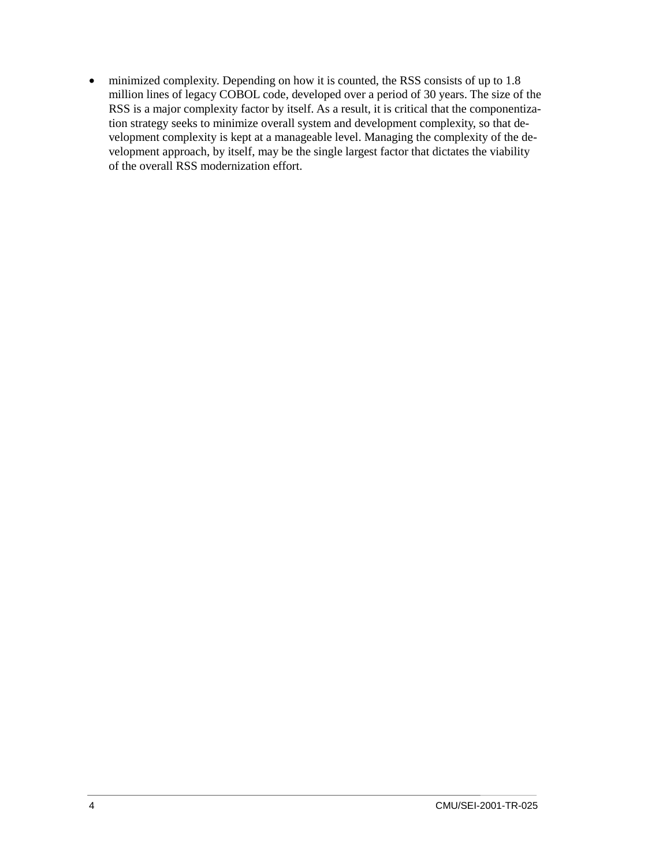• minimized complexity. Depending on how it is counted, the RSS consists of up to 1.8 million lines of legacy COBOL code, developed over a period of 30 years. The size of the RSS is a major complexity factor by itself. As a result, it is critical that the componentization strategy seeks to minimize overall system and development complexity, so that development complexity is kept at a manageable level. Managing the complexity of the development approach, by itself, may be the single largest factor that dictates the viability of the overall RSS modernization effort.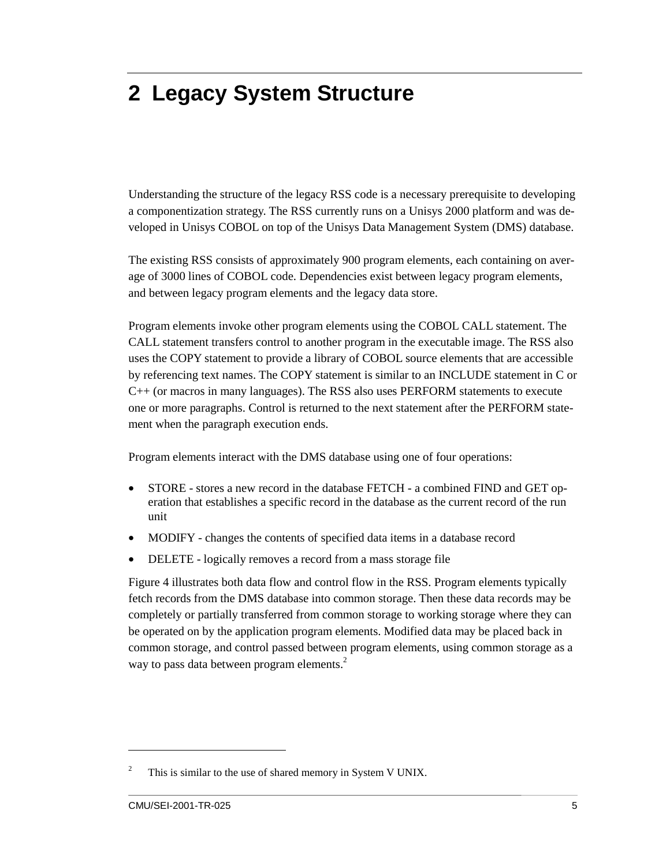### **2 Legacy System Structure**

Understanding the structure of the legacy RSS code is a necessary prerequisite to developing a componentization strategy. The RSS currently runs on a Unisys 2000 platform and was developed in Unisys COBOL on top of the Unisys Data Management System (DMS) database.

The existing RSS consists of approximately 900 program elements, each containing on average of 3000 lines of COBOL code. Dependencies exist between legacy program elements, and between legacy program elements and the legacy data store.

Program elements invoke other program elements using the COBOL CALL statement. The CALL statement transfers control to another program in the executable image. The RSS also uses the COPY statement to provide a library of COBOL source elements that are accessible by referencing text names. The COPY statement is similar to an INCLUDE statement in C or C++ (or macros in many languages). The RSS also uses PERFORM statements to execute one or more paragraphs. Control is returned to the next statement after the PERFORM statement when the paragraph execution ends.

Program elements interact with the DMS database using one of four operations:

- STORE stores a new record in the database FETCH a combined FIND and GET operation that establishes a specific record in the database as the current record of the run unit
- MODIFY changes the contents of specified data items in a database record
- DELETE logically removes a record from a mass storage file

Figure 4 illustrates both data flow and control flow in the RSS. Program elements typically fetch records from the DMS database into common storage. Then these data records may be completely or partially transferred from common storage to working storage where they can be operated on by the application program elements. Modified data may be placed back in common storage, and control passed between program elements, using common storage as a way to pass data between program elements.<sup>2</sup>

 $\overline{a}$ 

<sup>2</sup> This is similar to the use of shared memory in System V UNIX.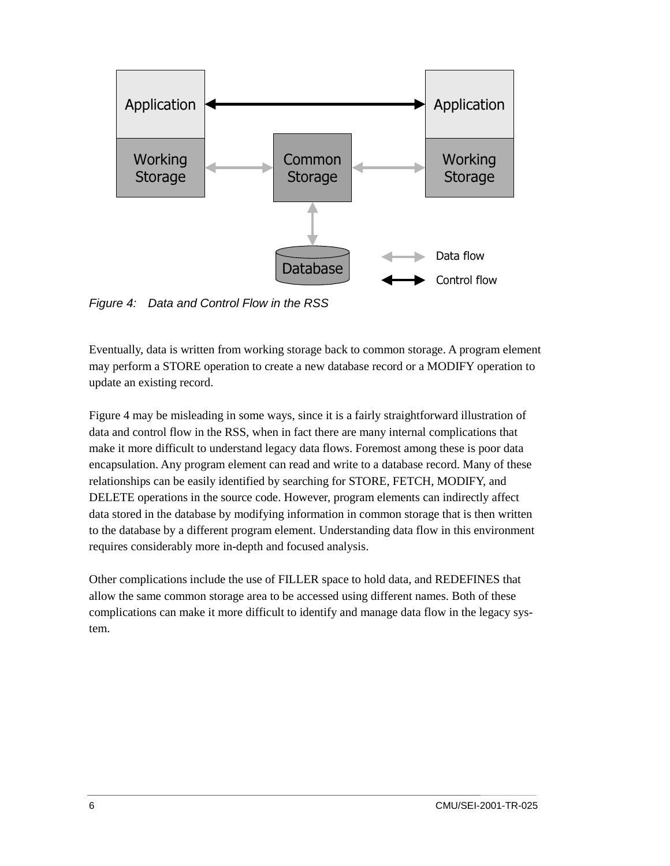![](_page_17_Figure_0.jpeg)

*Figure 4: Data and Control Flow in the RSS* 

Eventually, data is written from working storage back to common storage. A program element may perform a STORE operation to create a new database record or a MODIFY operation to update an existing record.

Figure 4 may be misleading in some ways, since it is a fairly straightforward illustration of data and control flow in the RSS, when in fact there are many internal complications that make it more difficult to understand legacy data flows. Foremost among these is poor data encapsulation. Any program element can read and write to a database record. Many of these relationships can be easily identified by searching for STORE, FETCH, MODIFY, and DELETE operations in the source code. However, program elements can indirectly affect data stored in the database by modifying information in common storage that is then written to the database by a different program element. Understanding data flow in this environment requires considerably more in-depth and focused analysis.

Other complications include the use of FILLER space to hold data, and REDEFINES that allow the same common storage area to be accessed using different names. Both of these complications can make it more difficult to identify and manage data flow in the legacy system.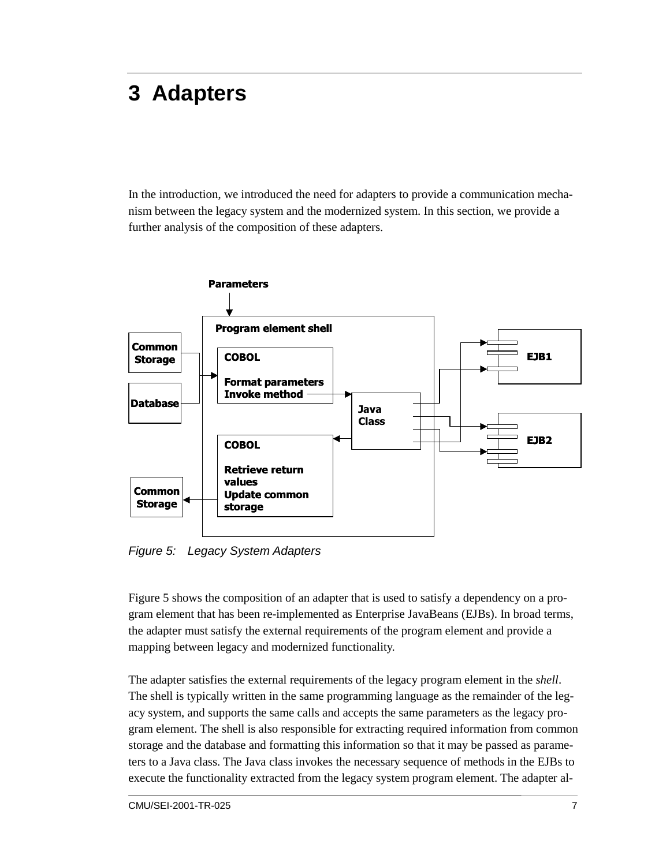### **3 Adapters**

In the introduction, we introduced the need for adapters to provide a communication mechanism between the legacy system and the modernized system. In this section, we provide a further analysis of the composition of these adapters.

![](_page_18_Figure_2.jpeg)

*Figure 5: Legacy System Adapters* 

Figure 5 shows the composition of an adapter that is used to satisfy a dependency on a program element that has been re-implemented as Enterprise JavaBeans (EJBs). In broad terms, the adapter must satisfy the external requirements of the program element and provide a mapping between legacy and modernized functionality.

The adapter satisfies the external requirements of the legacy program element in the *shell*. The shell is typically written in the same programming language as the remainder of the legacy system, and supports the same calls and accepts the same parameters as the legacy program element. The shell is also responsible for extracting required information from common storage and the database and formatting this information so that it may be passed as parameters to a Java class. The Java class invokes the necessary sequence of methods in the EJBs to execute the functionality extracted from the legacy system program element. The adapter al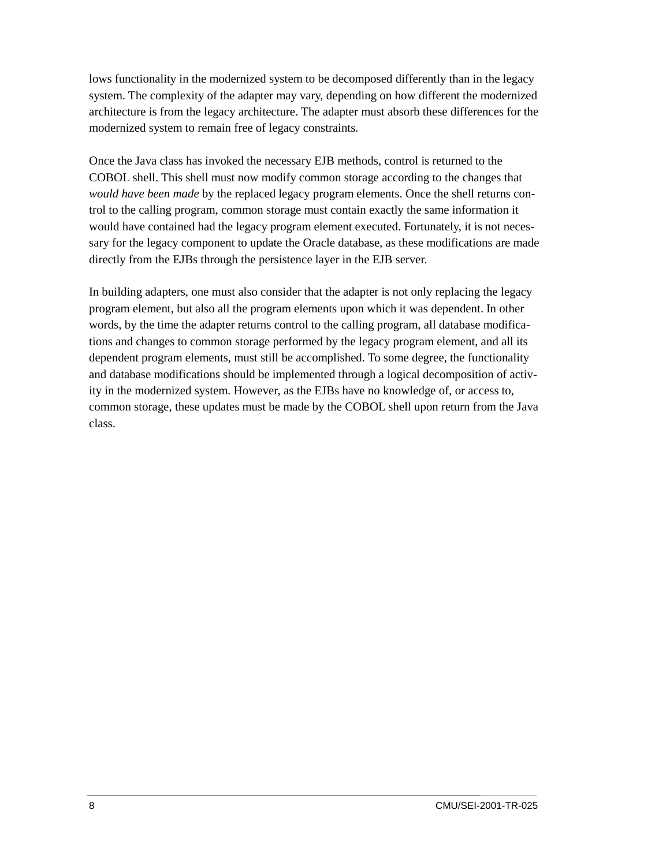lows functionality in the modernized system to be decomposed differently than in the legacy system. The complexity of the adapter may vary, depending on how different the modernized architecture is from the legacy architecture. The adapter must absorb these differences for the modernized system to remain free of legacy constraints.

Once the Java class has invoked the necessary EJB methods, control is returned to the COBOL shell. This shell must now modify common storage according to the changes that *would have been made* by the replaced legacy program elements. Once the shell returns control to the calling program, common storage must contain exactly the same information it would have contained had the legacy program element executed. Fortunately, it is not necessary for the legacy component to update the Oracle database, as these modifications are made directly from the EJBs through the persistence layer in the EJB server.

In building adapters, one must also consider that the adapter is not only replacing the legacy program element, but also all the program elements upon which it was dependent. In other words, by the time the adapter returns control to the calling program, all database modifications and changes to common storage performed by the legacy program element, and all its dependent program elements, must still be accomplished. To some degree, the functionality and database modifications should be implemented through a logical decomposition of activity in the modernized system. However, as the EJBs have no knowledge of, or access to, common storage, these updates must be made by the COBOL shell upon return from the Java class.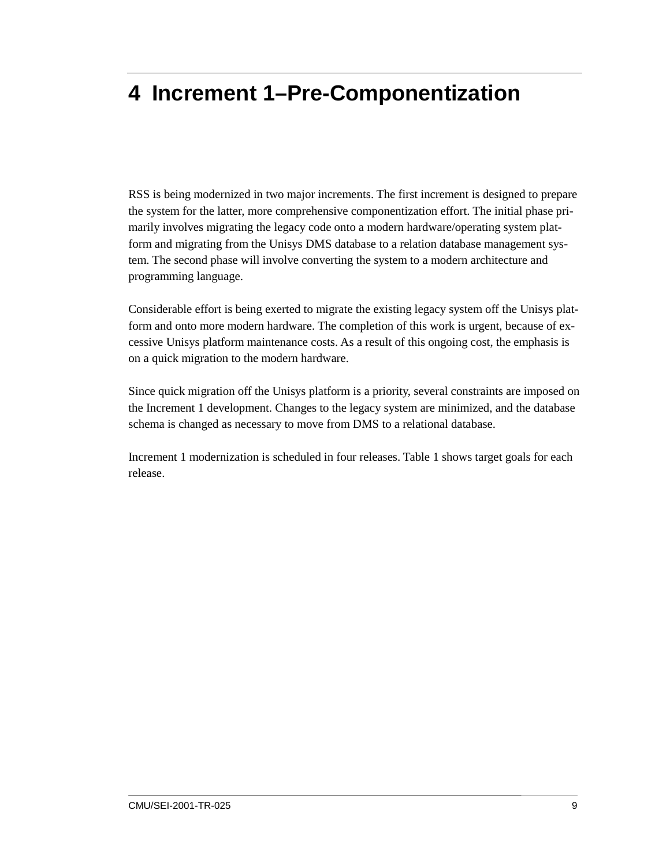### **4 Increment 1–Pre-Componentization**

RSS is being modernized in two major increments. The first increment is designed to prepare the system for the latter, more comprehensive componentization effort. The initial phase primarily involves migrating the legacy code onto a modern hardware/operating system platform and migrating from the Unisys DMS database to a relation database management system. The second phase will involve converting the system to a modern architecture and programming language.

Considerable effort is being exerted to migrate the existing legacy system off the Unisys platform and onto more modern hardware. The completion of this work is urgent, because of excessive Unisys platform maintenance costs. As a result of this ongoing cost, the emphasis is on a quick migration to the modern hardware.

Since quick migration off the Unisys platform is a priority, several constraints are imposed on the Increment 1 development. Changes to the legacy system are minimized, and the database schema is changed as necessary to move from DMS to a relational database.

Increment 1 modernization is scheduled in four releases. Table 1 shows target goals for each release.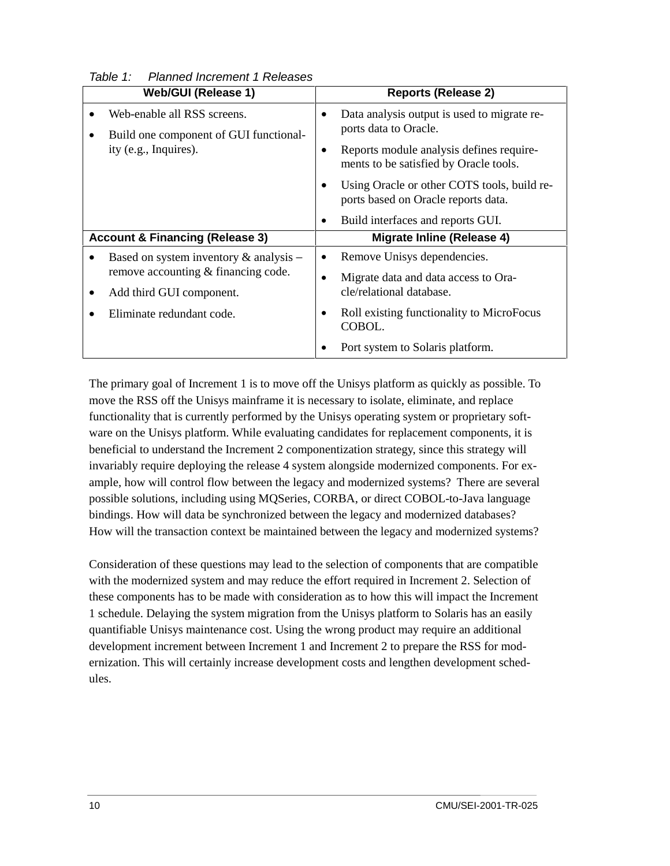| <b>Web/GUI (Release 1)</b>                                                                                                                | <b>Reports (Release 2)</b>                                                                                                                                                                                                                                 |
|-------------------------------------------------------------------------------------------------------------------------------------------|------------------------------------------------------------------------------------------------------------------------------------------------------------------------------------------------------------------------------------------------------------|
| Web-enable all RSS screens.<br>Build one component of GUI functional-<br>ity (e.g., Inquires).                                            | Data analysis output is used to migrate re-<br>ports data to Oracle.<br>Reports module analysis defines require-<br>٠<br>ments to be satisfied by Oracle tools.<br>Using Oracle or other COTS tools, build re-<br>٠<br>ports based on Oracle reports data. |
| <b>Account &amp; Financing (Release 3)</b>                                                                                                | Build interfaces and reports GUI.<br>٠<br>Migrate Inline (Release 4)                                                                                                                                                                                       |
| Based on system inventory $\&$ analysis –<br>remove accounting & financing code.<br>Add third GUI component.<br>Eliminate redundant code. | Remove Unisys dependencies.<br>Migrate data and data access to Ora-<br>cle/relational database.<br>Roll existing functionality to MicroFocus<br>٠<br>COBOL.<br>Port system to Solaris platform.                                                            |

*Table 1: Planned Increment 1 Releases* 

The primary goal of Increment 1 is to move off the Unisys platform as quickly as possible. To move the RSS off the Unisys mainframe it is necessary to isolate, eliminate, and replace functionality that is currently performed by the Unisys operating system or proprietary software on the Unisys platform. While evaluating candidates for replacement components, it is beneficial to understand the Increment 2 componentization strategy, since this strategy will invariably require deploying the release 4 system alongside modernized components. For example, how will control flow between the legacy and modernized systems? There are several possible solutions, including using MQSeries, CORBA, or direct COBOL-to-Java language bindings. How will data be synchronized between the legacy and modernized databases? How will the transaction context be maintained between the legacy and modernized systems?

Consideration of these questions may lead to the selection of components that are compatible with the modernized system and may reduce the effort required in Increment 2. Selection of these components has to be made with consideration as to how this will impact the Increment 1 schedule. Delaying the system migration from the Unisys platform to Solaris has an easily quantifiable Unisys maintenance cost. Using the wrong product may require an additional development increment between Increment 1 and Increment 2 to prepare the RSS for modernization. This will certainly increase development costs and lengthen development schedules.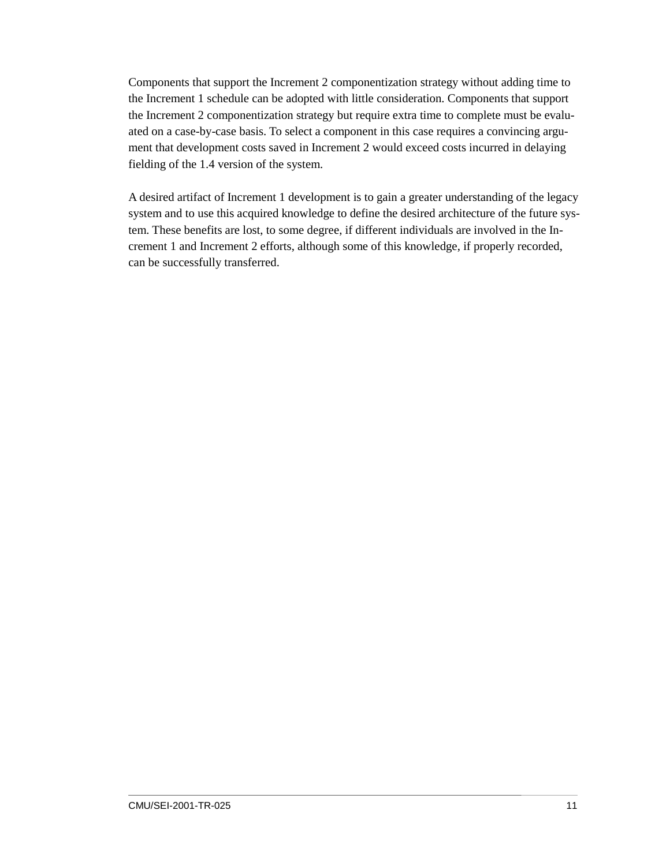Components that support the Increment 2 componentization strategy without adding time to the Increment 1 schedule can be adopted with little consideration. Components that support the Increment 2 componentization strategy but require extra time to complete must be evaluated on a case-by-case basis. To select a component in this case requires a convincing argument that development costs saved in Increment 2 would exceed costs incurred in delaying fielding of the 1.4 version of the system.

A desired artifact of Increment 1 development is to gain a greater understanding of the legacy system and to use this acquired knowledge to define the desired architecture of the future system. These benefits are lost, to some degree, if different individuals are involved in the Increment 1 and Increment 2 efforts, although some of this knowledge, if properly recorded, can be successfully transferred.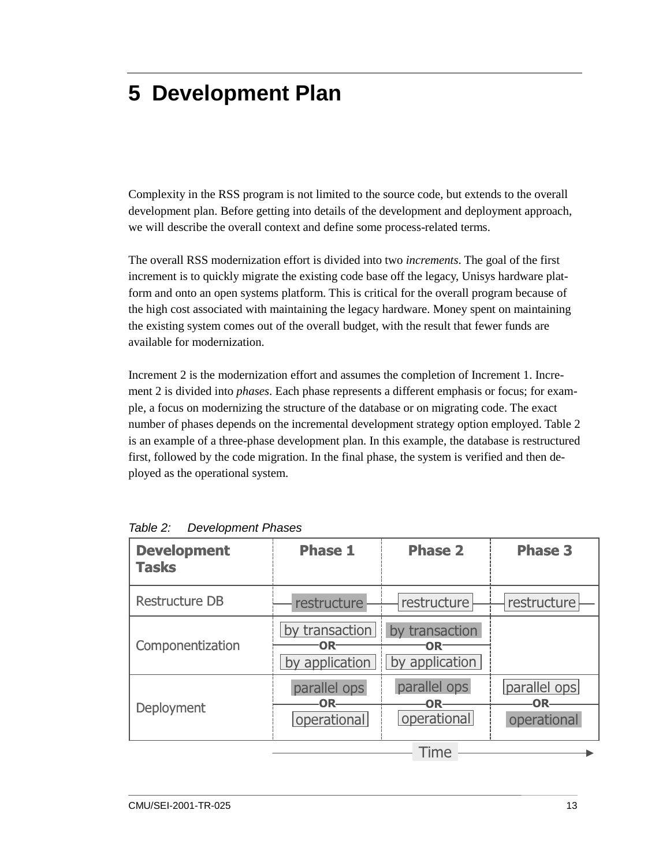### **5 Development Plan**

Complexity in the RSS program is not limited to the source code, but extends to the overall development plan. Before getting into details of the development and deployment approach, we will describe the overall context and define some process-related terms.

The overall RSS modernization effort is divided into two *increments*. The goal of the first increment is to quickly migrate the existing code base off the legacy, Unisys hardware platform and onto an open systems platform. This is critical for the overall program because of the high cost associated with maintaining the legacy hardware. Money spent on maintaining the existing system comes out of the overall budget, with the result that fewer funds are available for modernization.

Increment 2 is the modernization effort and assumes the completion of Increment 1. Increment 2 is divided into *phases*. Each phase represents a different emphasis or focus; for example, a focus on modernizing the structure of the database or on migrating code. The exact number of phases depends on the incremental development strategy option employed. Table 2 is an example of a three-phase development plan. In this example, the database is restructured first, followed by the code migration. In the final phase, the system is verified and then deployed as the operational system.

| <b>Development</b><br><b>Tasks</b> | <b>Phase 1</b>                          | <b>Phase 2</b>                               | <b>Phase 3</b>                     |
|------------------------------------|-----------------------------------------|----------------------------------------------|------------------------------------|
| <b>Restructure DB</b>              | restructure                             | restructure                                  | restructure                        |
| Componentization                   | by transaction<br>OR-<br>by application | by transaction<br>H<br>OR-<br>by application |                                    |
| <b>Deployment</b>                  | parallel ops<br>$-OR-$<br>operational   | parallel ops<br>OR-<br>operational           | parallel ops<br>OR-<br>operational |
|                                    |                                         | <b>Time</b>                                  |                                    |

*Table 2: Development Phases*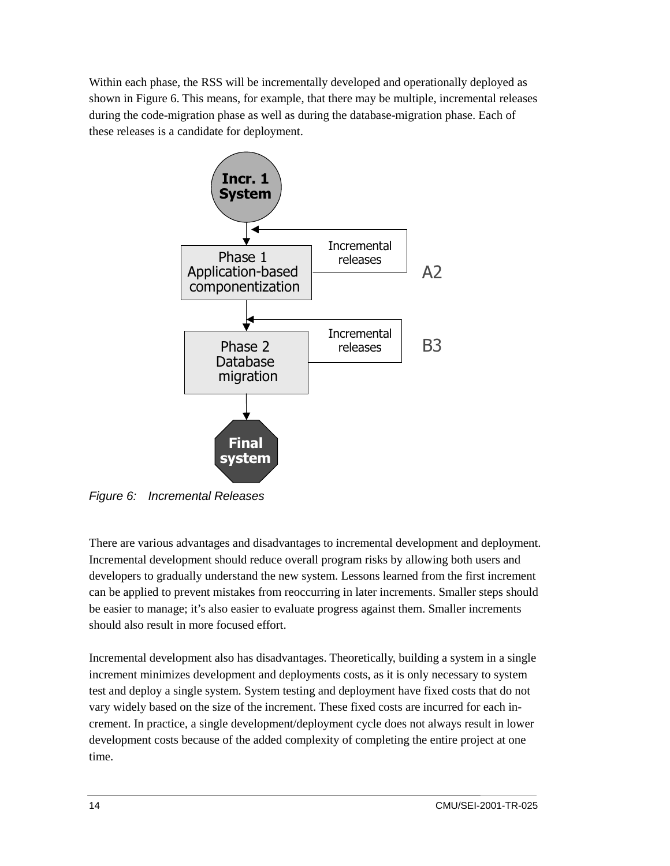Within each phase, the RSS will be incrementally developed and operationally deployed as shown in Figure 6. This means, for example, that there may be multiple, incremental releases during the code-migration phase as well as during the database-migration phase. Each of these releases is a candidate for deployment.

![](_page_25_Figure_1.jpeg)

*Figure 6: Incremental Releases* 

There are various advantages and disadvantages to incremental development and deployment. Incremental development should reduce overall program risks by allowing both users and developers to gradually understand the new system. Lessons learned from the first increment can be applied to prevent mistakes from reoccurring in later increments. Smaller steps should be easier to manage; it's also easier to evaluate progress against them. Smaller increments should also result in more focused effort.

Incremental development also has disadvantages. Theoretically, building a system in a single increment minimizes development and deployments costs, as it is only necessary to system test and deploy a single system. System testing and deployment have fixed costs that do not vary widely based on the size of the increment. These fixed costs are incurred for each increment. In practice, a single development/deployment cycle does not always result in lower development costs because of the added complexity of completing the entire project at one time.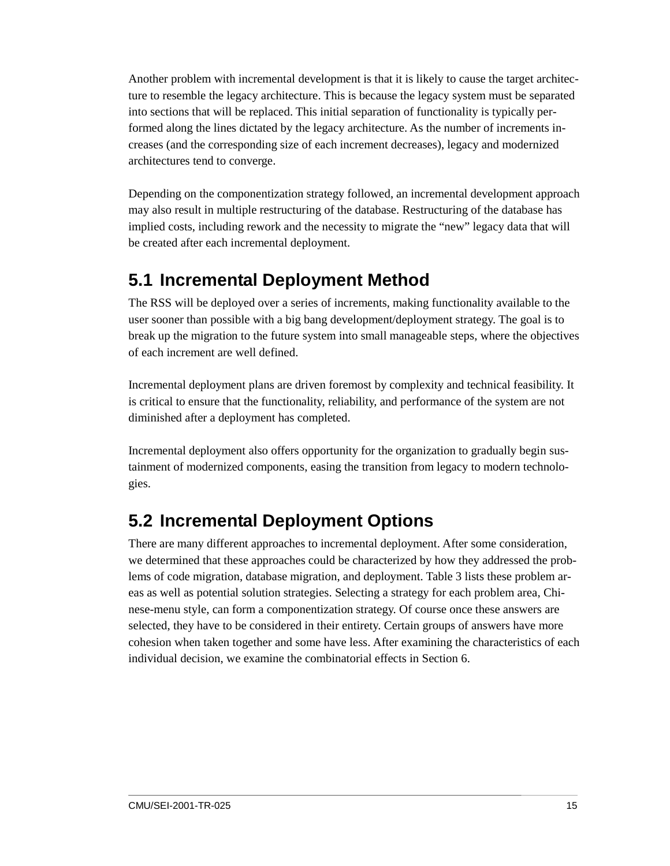Another problem with incremental development is that it is likely to cause the target architecture to resemble the legacy architecture. This is because the legacy system must be separated into sections that will be replaced. This initial separation of functionality is typically performed along the lines dictated by the legacy architecture. As the number of increments increases (and the corresponding size of each increment decreases), legacy and modernized architectures tend to converge.

Depending on the componentization strategy followed, an incremental development approach may also result in multiple restructuring of the database. Restructuring of the database has implied costs, including rework and the necessity to migrate the "new" legacy data that will be created after each incremental deployment.

### **5.1 Incremental Deployment Method**

The RSS will be deployed over a series of increments, making functionality available to the user sooner than possible with a big bang development/deployment strategy. The goal is to break up the migration to the future system into small manageable steps, where the objectives of each increment are well defined.

Incremental deployment plans are driven foremost by complexity and technical feasibility. It is critical to ensure that the functionality, reliability, and performance of the system are not diminished after a deployment has completed.

Incremental deployment also offers opportunity for the organization to gradually begin sustainment of modernized components, easing the transition from legacy to modern technologies.

### **5.2 Incremental Deployment Options**

There are many different approaches to incremental deployment. After some consideration, we determined that these approaches could be characterized by how they addressed the problems of code migration, database migration, and deployment. Table 3 lists these problem areas as well as potential solution strategies. Selecting a strategy for each problem area, Chinese-menu style, can form a componentization strategy. Of course once these answers are selected, they have to be considered in their entirety. Certain groups of answers have more cohesion when taken together and some have less. After examining the characteristics of each individual decision, we examine the combinatorial effects in Section 6.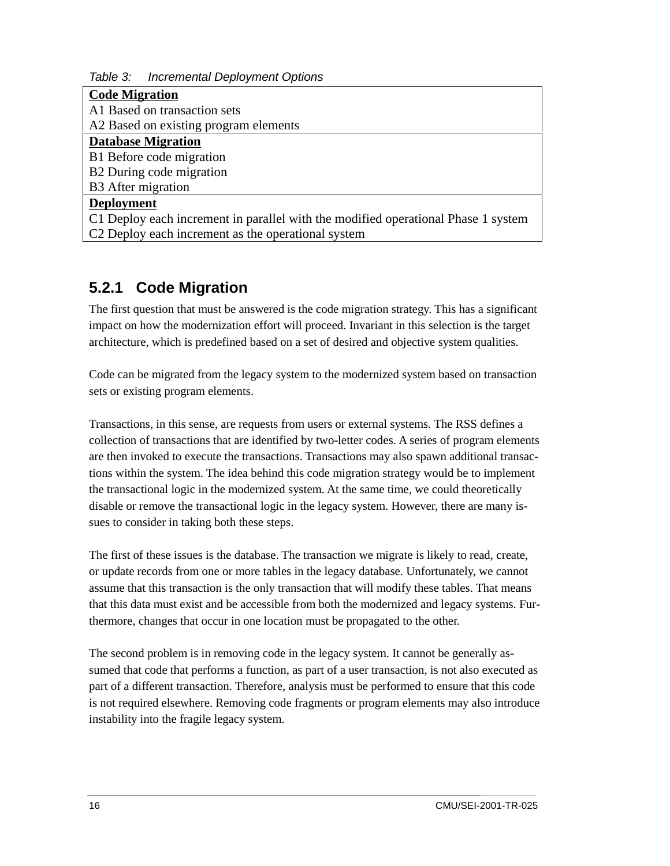*Table 3: Incremental Deployment Options* 

| <b>Code Migration</b>                                                             |
|-----------------------------------------------------------------------------------|
| A1 Based on transaction sets                                                      |
| A2 Based on existing program elements                                             |
| <b>Database Migration</b>                                                         |
| B1 Before code migration                                                          |
| B2 During code migration                                                          |
| B3 After migration                                                                |
| <b>Deployment</b>                                                                 |
| C1 Deploy each increment in parallel with the modified operational Phase 1 system |
| C <sub>2</sub> Deploy each increment as the operational system                    |
|                                                                                   |

#### **5.2.1 Code Migration**

The first question that must be answered is the code migration strategy. This has a significant impact on how the modernization effort will proceed. Invariant in this selection is the target architecture, which is predefined based on a set of desired and objective system qualities.

Code can be migrated from the legacy system to the modernized system based on transaction sets or existing program elements.

Transactions, in this sense, are requests from users or external systems. The RSS defines a collection of transactions that are identified by two-letter codes. A series of program elements are then invoked to execute the transactions. Transactions may also spawn additional transactions within the system. The idea behind this code migration strategy would be to implement the transactional logic in the modernized system. At the same time, we could theoretically disable or remove the transactional logic in the legacy system. However, there are many issues to consider in taking both these steps.

The first of these issues is the database. The transaction we migrate is likely to read, create, or update records from one or more tables in the legacy database. Unfortunately, we cannot assume that this transaction is the only transaction that will modify these tables. That means that this data must exist and be accessible from both the modernized and legacy systems. Furthermore, changes that occur in one location must be propagated to the other.

The second problem is in removing code in the legacy system. It cannot be generally assumed that code that performs a function, as part of a user transaction, is not also executed as part of a different transaction. Therefore, analysis must be performed to ensure that this code is not required elsewhere. Removing code fragments or program elements may also introduce instability into the fragile legacy system.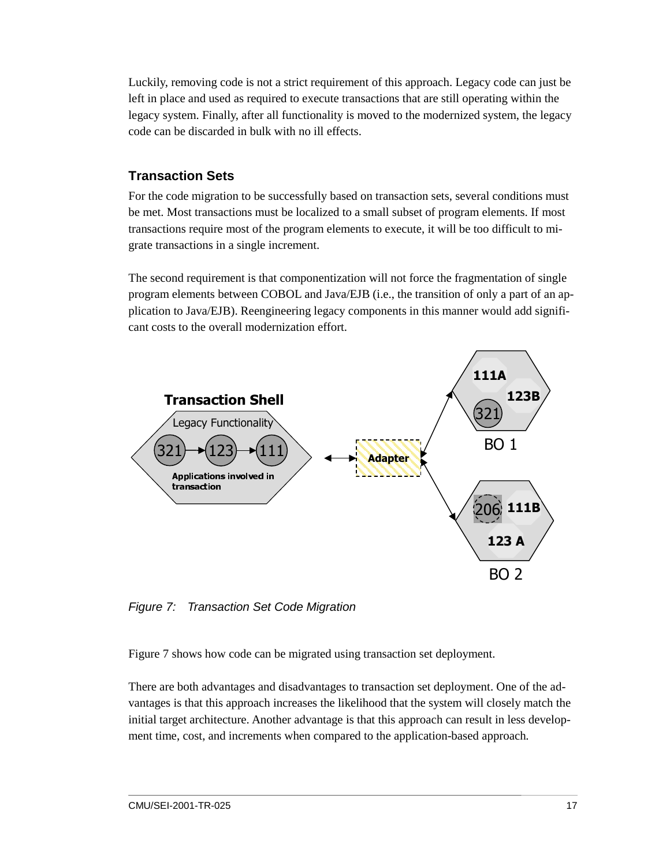Luckily, removing code is not a strict requirement of this approach. Legacy code can just be left in place and used as required to execute transactions that are still operating within the legacy system. Finally, after all functionality is moved to the modernized system, the legacy code can be discarded in bulk with no ill effects.

#### **Transaction Sets**

For the code migration to be successfully based on transaction sets, several conditions must be met. Most transactions must be localized to a small subset of program elements. If most transactions require most of the program elements to execute, it will be too difficult to migrate transactions in a single increment.

The second requirement is that componentization will not force the fragmentation of single program elements between COBOL and Java/EJB (i.e., the transition of only a part of an application to Java/EJB). Reengineering legacy components in this manner would add significant costs to the overall modernization effort.

![](_page_28_Figure_4.jpeg)

*Figure 7: Transaction Set Code Migration* 

Figure 7 shows how code can be migrated using transaction set deployment.

There are both advantages and disadvantages to transaction set deployment. One of the advantages is that this approach increases the likelihood that the system will closely match the initial target architecture. Another advantage is that this approach can result in less development time, cost, and increments when compared to the application-based approach.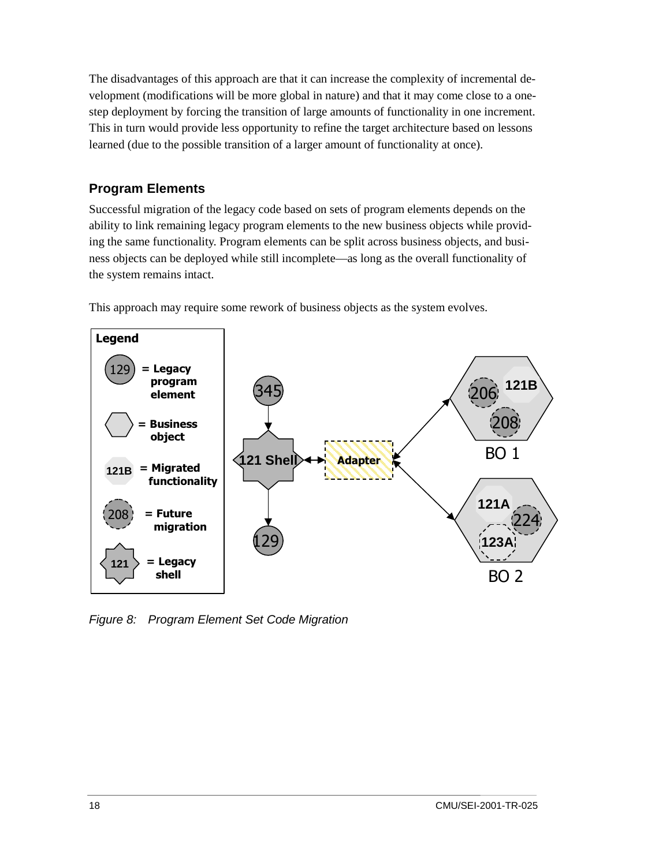The disadvantages of this approach are that it can increase the complexity of incremental development (modifications will be more global in nature) and that it may come close to a onestep deployment by forcing the transition of large amounts of functionality in one increment. This in turn would provide less opportunity to refine the target architecture based on lessons learned (due to the possible transition of a larger amount of functionality at once).

#### **Program Elements**

Successful migration of the legacy code based on sets of program elements depends on the ability to link remaining legacy program elements to the new business objects while providing the same functionality. Program elements can be split across business objects, and business objects can be deployed while still incomplete—as long as the overall functionality of the system remains intact.

![](_page_29_Figure_3.jpeg)

![](_page_29_Figure_4.jpeg)

*Figure 8: Program Element Set Code Migration*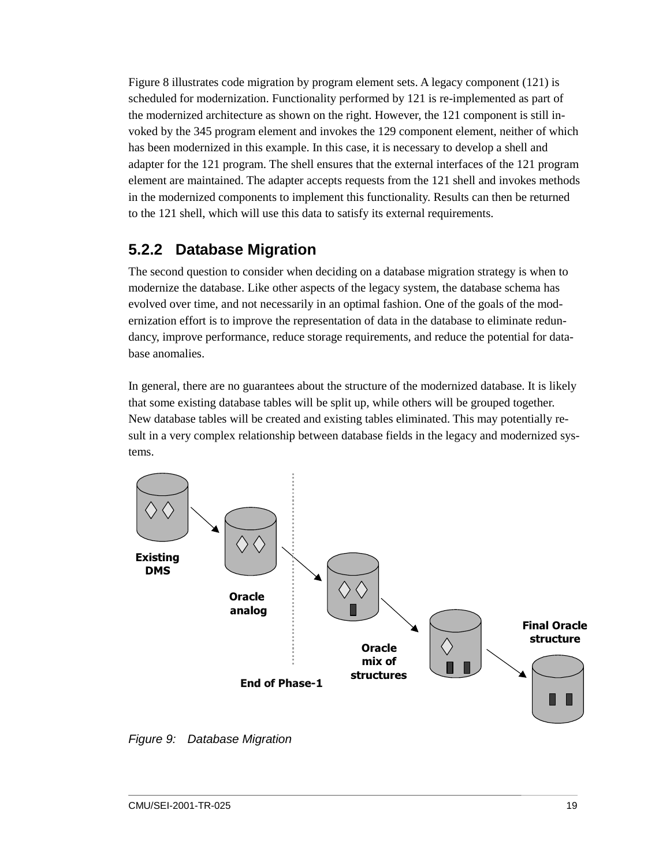Figure 8 illustrates code migration by program element sets. A legacy component (121) is scheduled for modernization. Functionality performed by 121 is re-implemented as part of the modernized architecture as shown on the right. However, the 121 component is still invoked by the 345 program element and invokes the 129 component element, neither of which has been modernized in this example. In this case, it is necessary to develop a shell and adapter for the 121 program. The shell ensures that the external interfaces of the 121 program element are maintained. The adapter accepts requests from the 121 shell and invokes methods in the modernized components to implement this functionality. Results can then be returned to the 121 shell, which will use this data to satisfy its external requirements.

#### **5.2.2 Database Migration**

The second question to consider when deciding on a database migration strategy is when to modernize the database. Like other aspects of the legacy system, the database schema has evolved over time, and not necessarily in an optimal fashion. One of the goals of the modernization effort is to improve the representation of data in the database to eliminate redundancy, improve performance, reduce storage requirements, and reduce the potential for database anomalies.

In general, there are no guarantees about the structure of the modernized database. It is likely that some existing database tables will be split up, while others will be grouped together. New database tables will be created and existing tables eliminated. This may potentially result in a very complex relationship between database fields in the legacy and modernized systems.

![](_page_30_Figure_4.jpeg)

*Figure 9: Database Migration*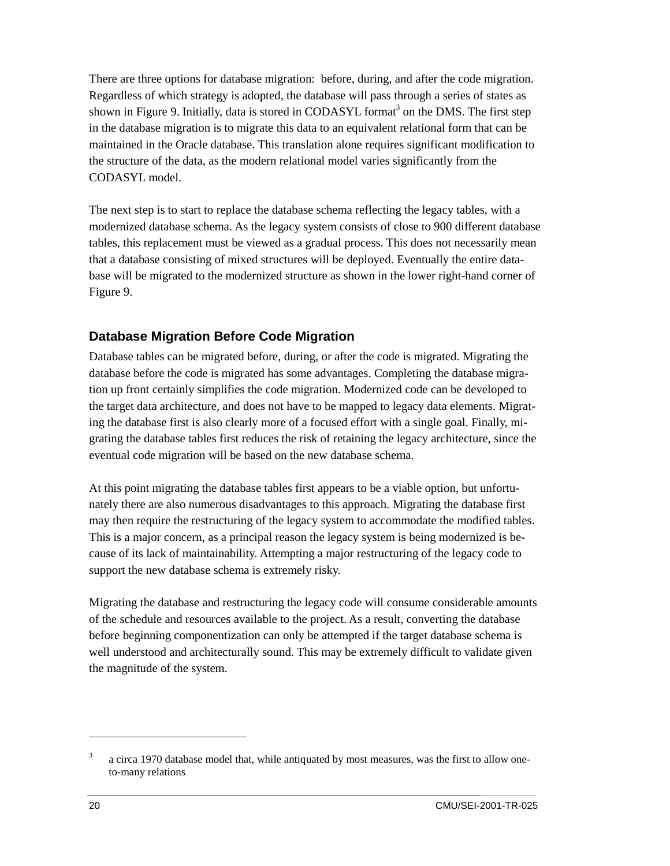There are three options for database migration: before, during, and after the code migration. Regardless of which strategy is adopted, the database will pass through a series of states as shown in Figure 9. Initially, data is stored in CODASYL format<sup>3</sup> on the DMS. The first step in the database migration is to migrate this data to an equivalent relational form that can be maintained in the Oracle database. This translation alone requires significant modification to the structure of the data, as the modern relational model varies significantly from the CODASYL model.

The next step is to start to replace the database schema reflecting the legacy tables, with a modernized database schema. As the legacy system consists of close to 900 different database tables, this replacement must be viewed as a gradual process. This does not necessarily mean that a database consisting of mixed structures will be deployed. Eventually the entire database will be migrated to the modernized structure as shown in the lower right-hand corner of Figure 9.

#### **Database Migration Before Code Migration**

Database tables can be migrated before, during, or after the code is migrated. Migrating the database before the code is migrated has some advantages. Completing the database migration up front certainly simplifies the code migration. Modernized code can be developed to the target data architecture, and does not have to be mapped to legacy data elements. Migrating the database first is also clearly more of a focused effort with a single goal. Finally, migrating the database tables first reduces the risk of retaining the legacy architecture, since the eventual code migration will be based on the new database schema.

At this point migrating the database tables first appears to be a viable option, but unfortunately there are also numerous disadvantages to this approach. Migrating the database first may then require the restructuring of the legacy system to accommodate the modified tables. This is a major concern, as a principal reason the legacy system is being modernized is because of its lack of maintainability. Attempting a major restructuring of the legacy code to support the new database schema is extremely risky.

Migrating the database and restructuring the legacy code will consume considerable amounts of the schedule and resources available to the project. As a result, converting the database before beginning componentization can only be attempted if the target database schema is well understood and architecturally sound. This may be extremely difficult to validate given the magnitude of the system.

 $\overline{a}$ 

<sup>3</sup> a circa 1970 database model that, while antiquated by most measures, was the first to allow oneto-many relations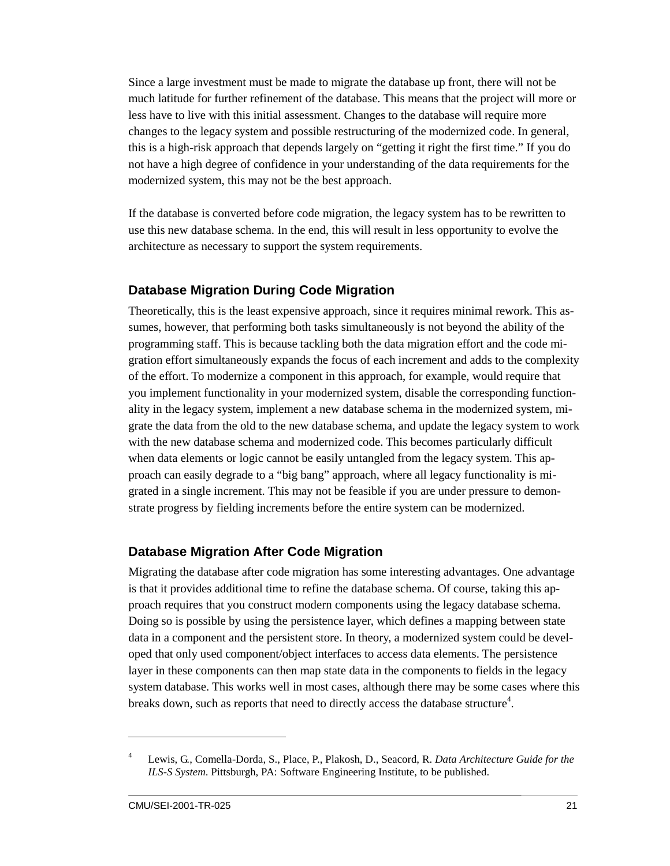Since a large investment must be made to migrate the database up front, there will not be much latitude for further refinement of the database. This means that the project will more or less have to live with this initial assessment. Changes to the database will require more changes to the legacy system and possible restructuring of the modernized code. In general, this is a high-risk approach that depends largely on "getting it right the first time." If you do not have a high degree of confidence in your understanding of the data requirements for the modernized system, this may not be the best approach.

If the database is converted before code migration, the legacy system has to be rewritten to use this new database schema. In the end, this will result in less opportunity to evolve the architecture as necessary to support the system requirements.

#### **Database Migration During Code Migration**

Theoretically, this is the least expensive approach, since it requires minimal rework. This assumes, however, that performing both tasks simultaneously is not beyond the ability of the programming staff. This is because tackling both the data migration effort and the code migration effort simultaneously expands the focus of each increment and adds to the complexity of the effort. To modernize a component in this approach, for example, would require that you implement functionality in your modernized system, disable the corresponding functionality in the legacy system, implement a new database schema in the modernized system, migrate the data from the old to the new database schema, and update the legacy system to work with the new database schema and modernized code. This becomes particularly difficult when data elements or logic cannot be easily untangled from the legacy system. This approach can easily degrade to a "big bang" approach, where all legacy functionality is migrated in a single increment. This may not be feasible if you are under pressure to demonstrate progress by fielding increments before the entire system can be modernized.

#### **Database Migration After Code Migration**

Migrating the database after code migration has some interesting advantages. One advantage is that it provides additional time to refine the database schema. Of course, taking this approach requires that you construct modern components using the legacy database schema. Doing so is possible by using the persistence layer, which defines a mapping between state data in a component and the persistent store. In theory, a modernized system could be developed that only used component/object interfaces to access data elements. The persistence layer in these components can then map state data in the components to fields in the legacy system database. This works well in most cases, although there may be some cases where this breaks down, such as reports that need to directly access the database structure<sup>4</sup>.

 $\overline{a}$ 

<sup>4</sup> Lewis, G., Comella-Dorda, S., Place, P., Plakosh, D., Seacord, R. *Data Architecture Guide for the ILS-S System*. Pittsburgh, PA: Software Engineering Institute, to be published.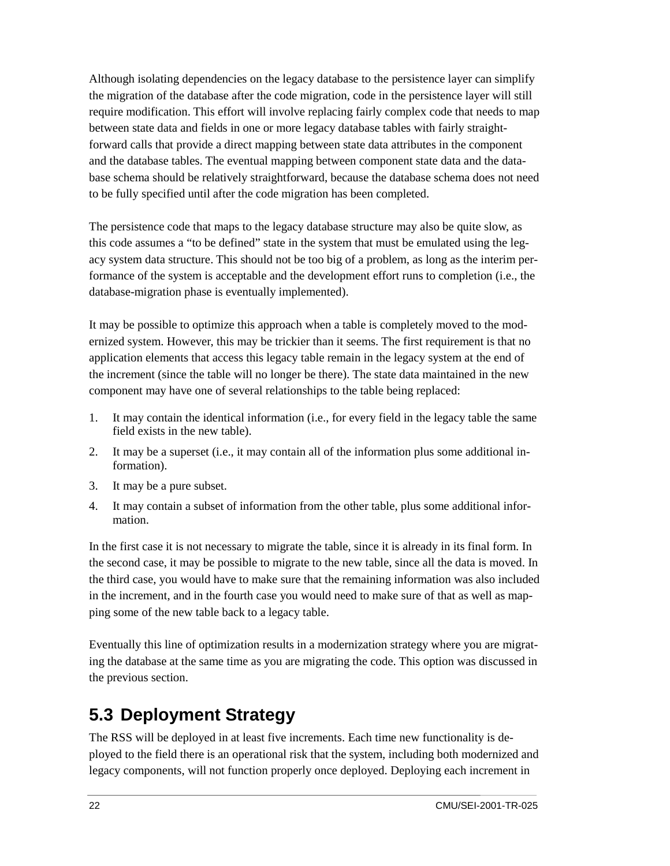Although isolating dependencies on the legacy database to the persistence layer can simplify the migration of the database after the code migration, code in the persistence layer will still require modification. This effort will involve replacing fairly complex code that needs to map between state data and fields in one or more legacy database tables with fairly straightforward calls that provide a direct mapping between state data attributes in the component and the database tables. The eventual mapping between component state data and the database schema should be relatively straightforward, because the database schema does not need to be fully specified until after the code migration has been completed.

The persistence code that maps to the legacy database structure may also be quite slow, as this code assumes a "to be defined" state in the system that must be emulated using the legacy system data structure. This should not be too big of a problem, as long as the interim performance of the system is acceptable and the development effort runs to completion (i.e., the database-migration phase is eventually implemented).

It may be possible to optimize this approach when a table is completely moved to the modernized system. However, this may be trickier than it seems. The first requirement is that no application elements that access this legacy table remain in the legacy system at the end of the increment (since the table will no longer be there). The state data maintained in the new component may have one of several relationships to the table being replaced:

- 1. It may contain the identical information (i.e., for every field in the legacy table the same field exists in the new table).
- 2. It may be a superset (i.e., it may contain all of the information plus some additional information).
- 3. It may be a pure subset.
- 4. It may contain a subset of information from the other table, plus some additional information.

In the first case it is not necessary to migrate the table, since it is already in its final form. In the second case, it may be possible to migrate to the new table, since all the data is moved. In the third case, you would have to make sure that the remaining information was also included in the increment, and in the fourth case you would need to make sure of that as well as mapping some of the new table back to a legacy table.

Eventually this line of optimization results in a modernization strategy where you are migrating the database at the same time as you are migrating the code. This option was discussed in the previous section.

### **5.3 Deployment Strategy**

The RSS will be deployed in at least five increments. Each time new functionality is deployed to the field there is an operational risk that the system, including both modernized and legacy components, will not function properly once deployed. Deploying each increment in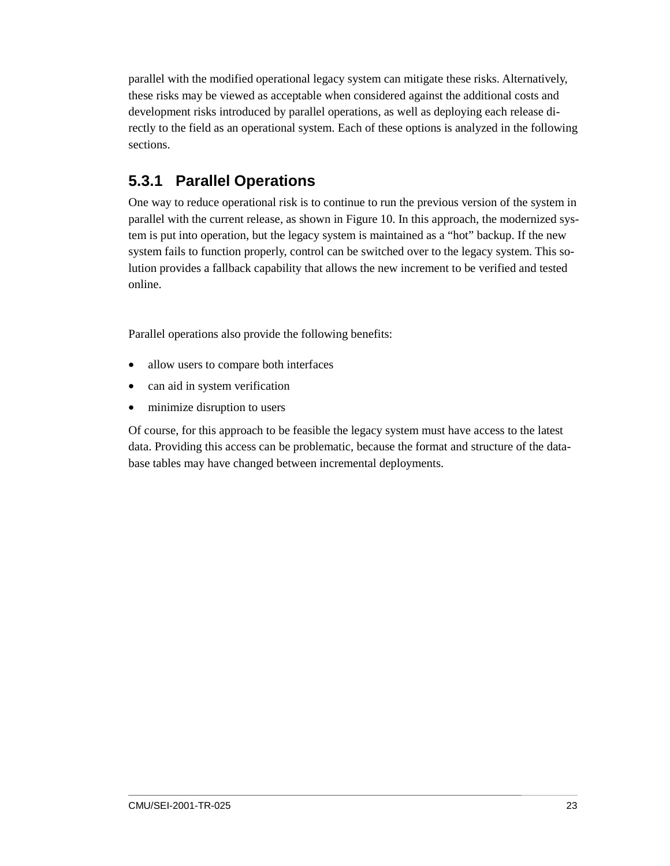parallel with the modified operational legacy system can mitigate these risks. Alternatively, these risks may be viewed as acceptable when considered against the additional costs and development risks introduced by parallel operations, as well as deploying each release directly to the field as an operational system. Each of these options is analyzed in the following sections.

### **5.3.1 Parallel Operations**

One way to reduce operational risk is to continue to run the previous version of the system in parallel with the current release, as shown in Figure 10. In this approach, the modernized system is put into operation, but the legacy system is maintained as a "hot" backup. If the new system fails to function properly, control can be switched over to the legacy system. This solution provides a fallback capability that allows the new increment to be verified and tested online.

Parallel operations also provide the following benefits:

- allow users to compare both interfaces
- can aid in system verification
- minimize disruption to users

Of course, for this approach to be feasible the legacy system must have access to the latest data. Providing this access can be problematic, because the format and structure of the database tables may have changed between incremental deployments.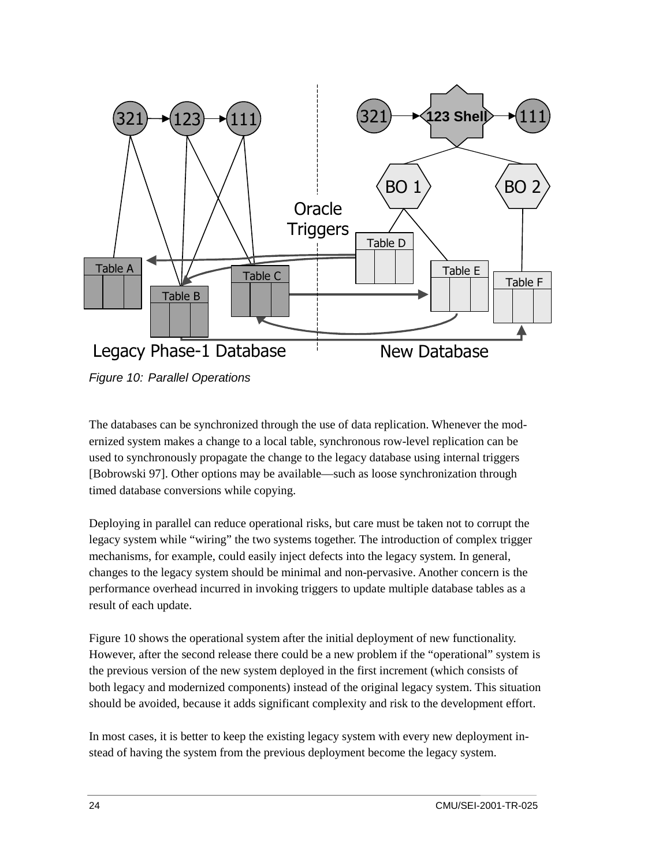![](_page_35_Figure_0.jpeg)

*Figure 10: Parallel Operations* 

The databases can be synchronized through the use of data replication. Whenever the modernized system makes a change to a local table, synchronous row-level replication can be used to synchronously propagate the change to the legacy database using internal triggers [Bobrowski 97]. Other options may be available—such as loose synchronization through timed database conversions while copying.

Deploying in parallel can reduce operational risks, but care must be taken not to corrupt the legacy system while "wiring" the two systems together. The introduction of complex trigger mechanisms, for example, could easily inject defects into the legacy system. In general, changes to the legacy system should be minimal and non-pervasive. Another concern is the performance overhead incurred in invoking triggers to update multiple database tables as a result of each update.

Figure 10 shows the operational system after the initial deployment of new functionality. However, after the second release there could be a new problem if the "operational" system is the previous version of the new system deployed in the first increment (which consists of both legacy and modernized components) instead of the original legacy system. This situation should be avoided, because it adds significant complexity and risk to the development effort.

In most cases, it is better to keep the existing legacy system with every new deployment instead of having the system from the previous deployment become the legacy system.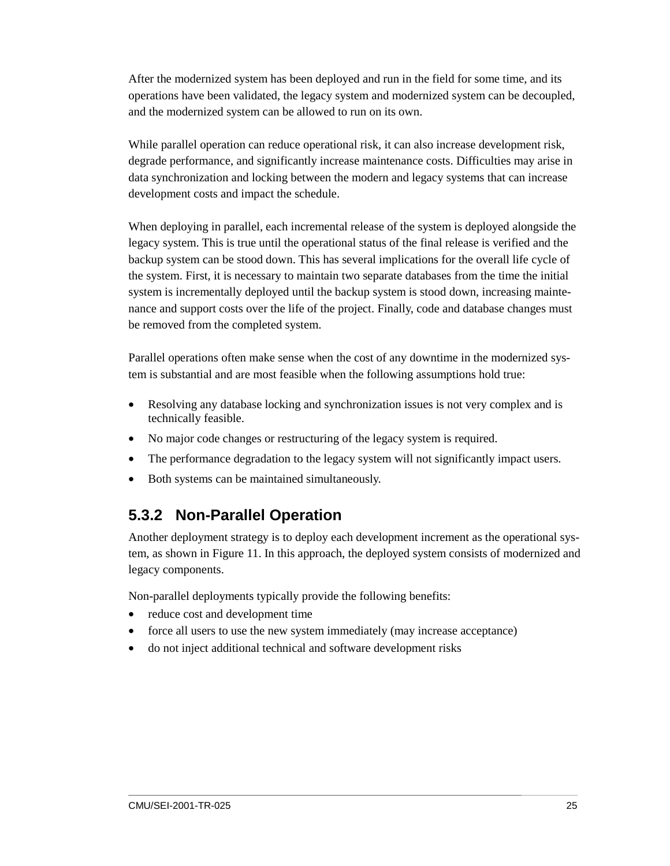After the modernized system has been deployed and run in the field for some time, and its operations have been validated, the legacy system and modernized system can be decoupled, and the modernized system can be allowed to run on its own.

While parallel operation can reduce operational risk, it can also increase development risk, degrade performance, and significantly increase maintenance costs. Difficulties may arise in data synchronization and locking between the modern and legacy systems that can increase development costs and impact the schedule.

When deploying in parallel, each incremental release of the system is deployed alongside the legacy system. This is true until the operational status of the final release is verified and the backup system can be stood down. This has several implications for the overall life cycle of the system. First, it is necessary to maintain two separate databases from the time the initial system is incrementally deployed until the backup system is stood down, increasing maintenance and support costs over the life of the project. Finally, code and database changes must be removed from the completed system.

Parallel operations often make sense when the cost of any downtime in the modernized system is substantial and are most feasible when the following assumptions hold true:

- Resolving any database locking and synchronization issues is not very complex and is technically feasible.
- No major code changes or restructuring of the legacy system is required.
- The performance degradation to the legacy system will not significantly impact users.
- Both systems can be maintained simultaneously.

#### **5.3.2 Non-Parallel Operation**

Another deployment strategy is to deploy each development increment as the operational system, as shown in Figure 11. In this approach, the deployed system consists of modernized and legacy components.

Non-parallel deployments typically provide the following benefits:

- reduce cost and development time
- force all users to use the new system immediately (may increase acceptance)
- do not inject additional technical and software development risks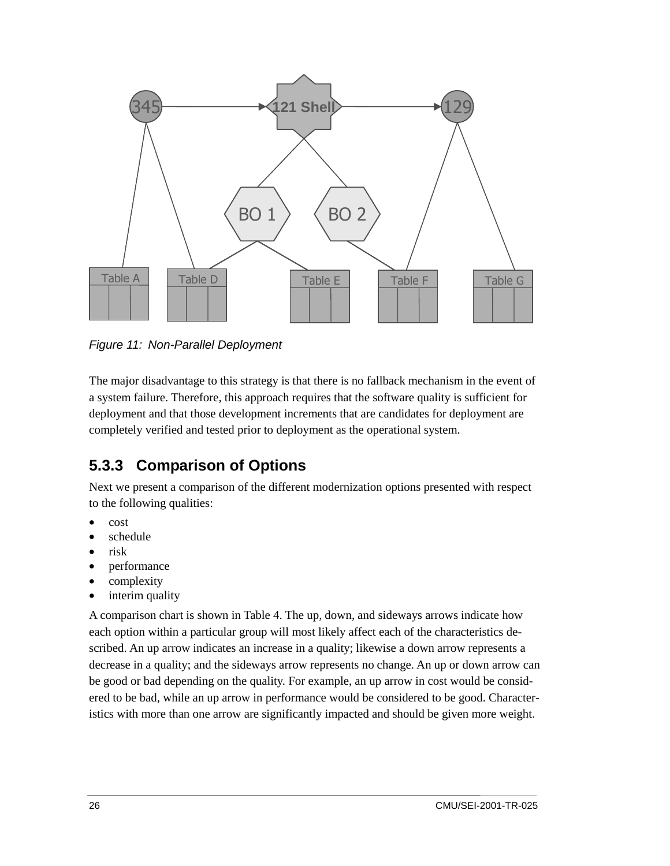

*Figure 11: Non-Parallel Deployment* 

The major disadvantage to this strategy is that there is no fallback mechanism in the event of a system failure. Therefore, this approach requires that the software quality is sufficient for deployment and that those development increments that are candidates for deployment are completely verified and tested prior to deployment as the operational system.

#### **5.3.3 Comparison of Options**

Next we present a comparison of the different modernization options presented with respect to the following qualities:

- cost
- schedule
- risk
- performance
- complexity
- interim quality

A comparison chart is shown in Table 4. The up, down, and sideways arrows indicate how each option within a particular group will most likely affect each of the characteristics described. An up arrow indicates an increase in a quality; likewise a down arrow represents a decrease in a quality; and the sideways arrow represents no change. An up or down arrow can be good or bad depending on the quality. For example, an up arrow in cost would be considered to be bad, while an up arrow in performance would be considered to be good. Characteristics with more than one arrow are significantly impacted and should be given more weight.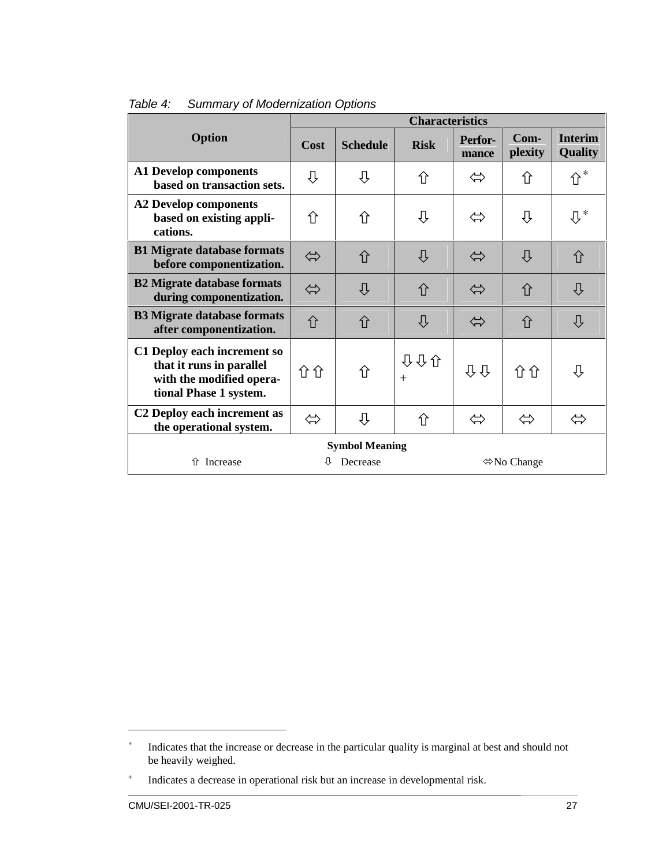|                                                                                                               | <b>Characteristics</b>                  |                 |             |                   |                   |                                        |
|---------------------------------------------------------------------------------------------------------------|-----------------------------------------|-----------------|-------------|-------------------|-------------------|----------------------------------------|
| Option                                                                                                        | Cost                                    | <b>Schedule</b> | <b>Risk</b> | Perfor-<br>mance  | $Com-$<br>plexity | <b>Interim</b><br><b>Quality</b>       |
| <b>A1 Develop components</b><br>based on transaction sets.                                                    | ⇩                                       | ⇩               | ⇧           | ⇔                 | ⇧                 | $\hat{\Upsilon}^*$                     |
| <b>A2 Develop components</b><br>based on existing appli-<br>cations.                                          | 介                                       | 介               | ⇩           | ⇔                 | ⇩                 | $\operatorname{\mathrm{\mathbb{Q}}}^*$ |
| <b>B1 Migrate database formats</b><br>before componentization.                                                | $\Leftrightarrow$                       | 仚               | ⇩           | $\Leftrightarrow$ | ⇩                 | 仚                                      |
| <b>B2 Migrate database formats</b><br>during componentization.                                                | $\Leftrightarrow$                       | ⇩               | 仚           | $\Leftrightarrow$ | ⇧                 | ⇩                                      |
| <b>B3 Migrate database formats</b><br>after componentization.                                                 | 仚                                       | 仚               | ⇩           | $\Leftrightarrow$ | 仚                 | ⇩                                      |
| C1 Deploy each increment so<br>that it runs in parallel<br>with the modified opera-<br>tional Phase 1 system. | 介介                                      | 介               | 介介サ<br>$+$  | 介介                | 介介                | ⇩                                      |
| C <sub>2</sub> Deploy each increment as<br>the operational system.                                            | $\Leftrightarrow$                       | ⇩               | ⇧           | $\Leftrightarrow$ | $\Leftrightarrow$ | ⇔                                      |
| <b>Symbol Meaning</b>                                                                                         |                                         |                 |             |                   |                   |                                        |
| Increase<br>介                                                                                                 | Decrease<br>$\Leftrightarrow$ No Change |                 |             |                   |                   |                                        |

*Table 4: Summary of Modernization Options* 

 $\overline{a}$ 

<sup>∗</sup> Indicates that the increase or decrease in the particular quality is marginal at best and should not be heavily weighed.

<sup>+</sup> Indicates a decrease in operational risk but an increase in developmental risk.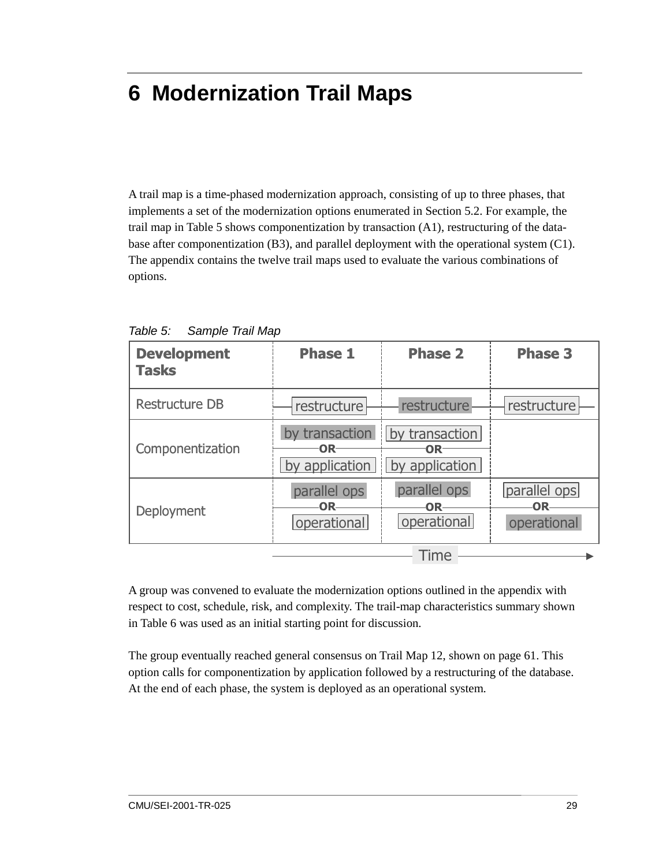## **6 Modernization Trail Maps**

A trail map is a time-phased modernization approach, consisting of up to three phases, that implements a set of the modernization options enumerated in Section 5.2. For example, the trail map in Table 5 shows componentization by transaction (A1), restructuring of the database after componentization (B3), and parallel deployment with the operational system (C1). The appendix contains the twelve trail maps used to evaluate the various combinations of options.

| <b>Development</b><br><b>Tasks</b> | <b>Phase 1</b>                            | <b>Phase 2</b>                          | <b>Phase 3</b>                       |  |
|------------------------------------|-------------------------------------------|-----------------------------------------|--------------------------------------|--|
| <b>Restructure DB</b>              | restructure                               | restructure                             | restructure                          |  |
| Componentization                   | by transaction  <br>OR-<br>by application | by transaction<br>OR-<br>by application |                                      |  |
| Deployment                         | parallel ops<br>OR—<br>operational        | parallel ops<br>$-OR-$<br>operational   | parallel ops<br>$OR-$<br>operational |  |
|                                    | Time                                      |                                         |                                      |  |

*Table 5: Sample Trail Map* 

A group was convened to evaluate the modernization options outlined in the appendix with respect to cost, schedule, risk, and complexity. The trail-map characteristics summary shown in Table 6 was used as an initial starting point for discussion.

The group eventually reached general consensus on Trail Map 12, shown on page 61. This option calls for componentization by application followed by a restructuring of the database. At the end of each phase, the system is deployed as an operational system.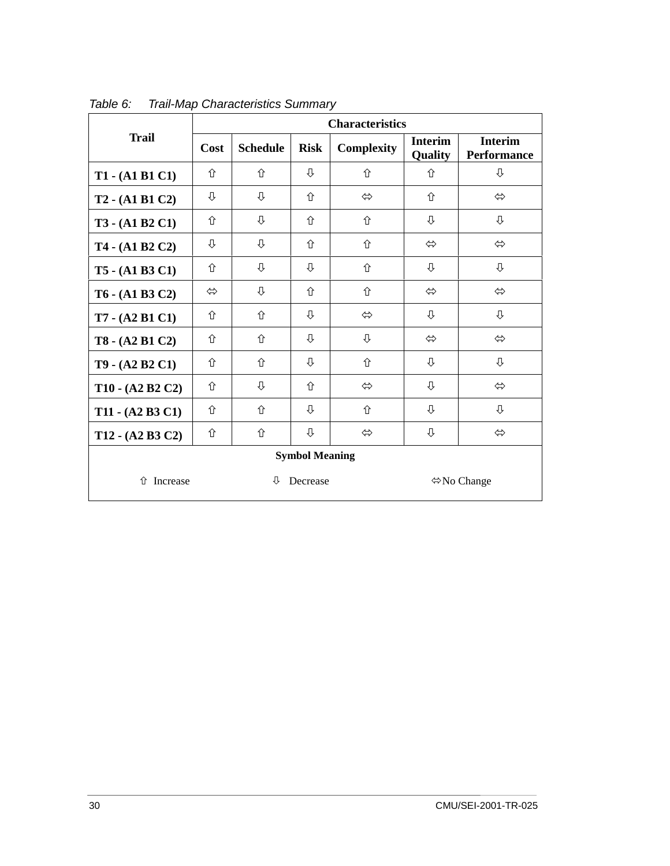|                       | <b>Characteristics</b>                       |                 |             |                   |                                  |                                      |
|-----------------------|----------------------------------------------|-----------------|-------------|-------------------|----------------------------------|--------------------------------------|
| <b>Trail</b>          | Cost                                         | <b>Schedule</b> | <b>Risk</b> | <b>Complexity</b> | <b>Interim</b><br><b>Quality</b> | <b>Interim</b><br><b>Performance</b> |
| $T1 - (A1 B1 C1)$     | ⇧                                            | ⇧               | ⇩           | ⇧                 | ⇧                                | ⇩                                    |
| $T2 - (A1 B1 C2)$     | ⇩                                            | ⇩               | ⇧           | $\Leftrightarrow$ | ⇧                                | $\Leftrightarrow$                    |
| $T3 - (A1 B2 C1)$     | ⇧                                            | ⇩               | 介           | ⇧                 | ⇩                                | ⇩                                    |
| $T4 - (A1 B2 C2)$     | ⇩                                            | ⇩               | 介           | ⇧                 | $\Leftrightarrow$                | ⇔                                    |
| $T5 - (A1 B3 C1)$     | ⇧                                            | ⇩               | ⇩           | ⇧                 | ⇩                                | $\rm \mathbb{G}$                     |
| $T6 - (A1 B3 C2)$     | ⇔                                            | ⇩               | 介           | 仚                 | ⇔                                | ⇔                                    |
| $T7 - (A2 B1 C1)$     | 介                                            | 介               | ⇩           | ⇔                 | ⇩                                | ⇩                                    |
| T8 - (A2 B1 C2)       | 介                                            | 介               | ⇩           | ⇩                 | ⇔                                | $\Leftrightarrow$                    |
| $T9 - (A2 B2 C1)$     | ⇧                                            | 仚               | ⇩           | ⇧                 | ⇩                                | ⇩                                    |
| $T10 - (A2 B2 C2)$    | 介                                            | ⇩               | ⇧           | $\Leftrightarrow$ | ⇩                                | $\Leftrightarrow$                    |
| $T11 - (A2 B3 C1)$    | ⇧                                            | 仚               | ⇩           | ⇧                 | ⇩                                | ⇩                                    |
| $T12 - (A2 B3 C2)$    | 仚                                            | 仚               | ⇩           | $\Leftrightarrow$ | ⇩                                | ⇔                                    |
| <b>Symbol Meaning</b> |                                              |                 |             |                   |                                  |                                      |
| ↑ Increase            | ⇩<br>Decrease<br>$\Leftrightarrow$ No Change |                 |             |                   |                                  |                                      |

*Table 6: Trail-Map Characteristics Summary*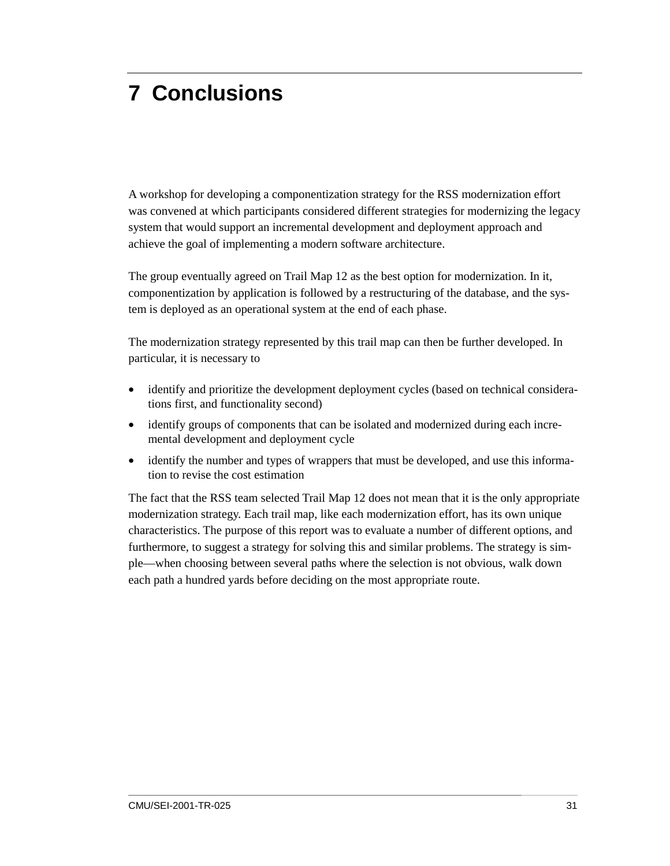## **7 Conclusions**

A workshop for developing a componentization strategy for the RSS modernization effort was convened at which participants considered different strategies for modernizing the legacy system that would support an incremental development and deployment approach and achieve the goal of implementing a modern software architecture.

The group eventually agreed on Trail Map 12 as the best option for modernization. In it, componentization by application is followed by a restructuring of the database, and the system is deployed as an operational system at the end of each phase.

The modernization strategy represented by this trail map can then be further developed. In particular, it is necessary to

- identify and prioritize the development deployment cycles (based on technical considerations first, and functionality second)
- identify groups of components that can be isolated and modernized during each incremental development and deployment cycle
- identify the number and types of wrappers that must be developed, and use this information to revise the cost estimation

The fact that the RSS team selected Trail Map 12 does not mean that it is the only appropriate modernization strategy. Each trail map, like each modernization effort, has its own unique characteristics. The purpose of this report was to evaluate a number of different options, and furthermore, to suggest a strategy for solving this and similar problems. The strategy is simple—when choosing between several paths where the selection is not obvious, walk down each path a hundred yards before deciding on the most appropriate route.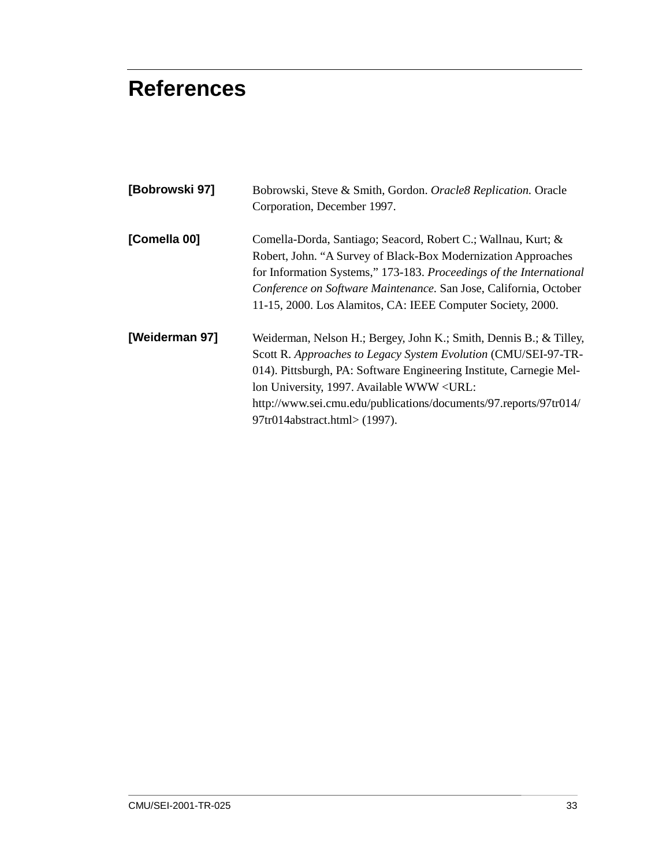## **References**

| [Bobrowski 97] | Bobrowski, Steve & Smith, Gordon. Oracle8 Replication. Oracle<br>Corporation, December 1997.                                                                                                                                                                                                                                                                                 |
|----------------|------------------------------------------------------------------------------------------------------------------------------------------------------------------------------------------------------------------------------------------------------------------------------------------------------------------------------------------------------------------------------|
| [Comella 00]   | Comella-Dorda, Santiago; Seacord, Robert C.; Wallnau, Kurt; &<br>Robert, John. "A Survey of Black-Box Modernization Approaches<br>for Information Systems," 173-183. Proceedings of the International<br>Conference on Software Maintenance. San Jose, California, October<br>11-15, 2000. Los Alamitos, CA: IEEE Computer Society, 2000.                                    |
| [Weiderman 97] | Weiderman, Nelson H.; Bergey, John K.; Smith, Dennis B.; & Tilley,<br>Scott R. Approaches to Legacy System Evolution (CMU/SEI-97-TR-<br>014). Pittsburgh, PA: Software Engineering Institute, Carnegie Mel-<br>lon University, 1997. Available WWW <url:<br>http://www.sei.cmu.edu/publications/documents/97.reports/97tr014/<br/>97tr014abstract.html&gt; (1997).</url:<br> |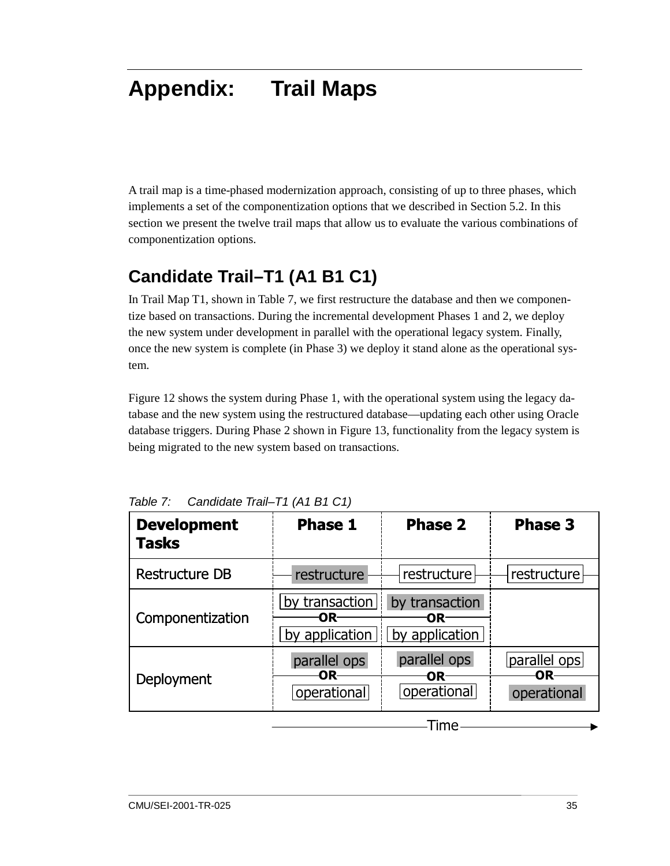# **Appendix: Trail Maps**

A trail map is a time-phased modernization approach, consisting of up to three phases, which implements a set of the componentization options that we described in Section 5.2. In this section we present the twelve trail maps that allow us to evaluate the various combinations of componentization options.

#### **Candidate Trail–T1 (A1 B1 C1)**

In Trail Map T1, shown in Table 7, we first restructure the database and then we componentize based on transactions. During the incremental development Phases 1 and 2, we deploy the new system under development in parallel with the operational legacy system. Finally, once the new system is complete (in Phase 3) we deploy it stand alone as the operational system.

Figure 12 shows the system during Phase 1, with the operational system using the legacy database and the new system using the restructured database—updating each other using Oracle database triggers. During Phase 2 shown in Figure 13, functionality from the legacy system is being migrated to the new system based on transactions.

| <b>Development</b><br><b>Tasks</b> | <b>Phase 1</b>                           | <b>Phase 2</b>                          | <b>Phase 3</b>                     |  |
|------------------------------------|------------------------------------------|-----------------------------------------|------------------------------------|--|
| <b>Restructure DB</b>              | restructure                              | restructure                             | restructure                        |  |
| Componentization                   | by transaction<br>∙OR−<br>by application | by transaction<br>OR-<br>by application |                                    |  |
| Deployment                         | parallel ops<br>OR-<br>operational       | parallel ops<br>OR-<br>operational      | parallel ops<br>OR-<br>operational |  |
|                                    |                                          | Time                                    |                                    |  |

*Table 7: Candidate Trail–T1 (A1 B1 C1)*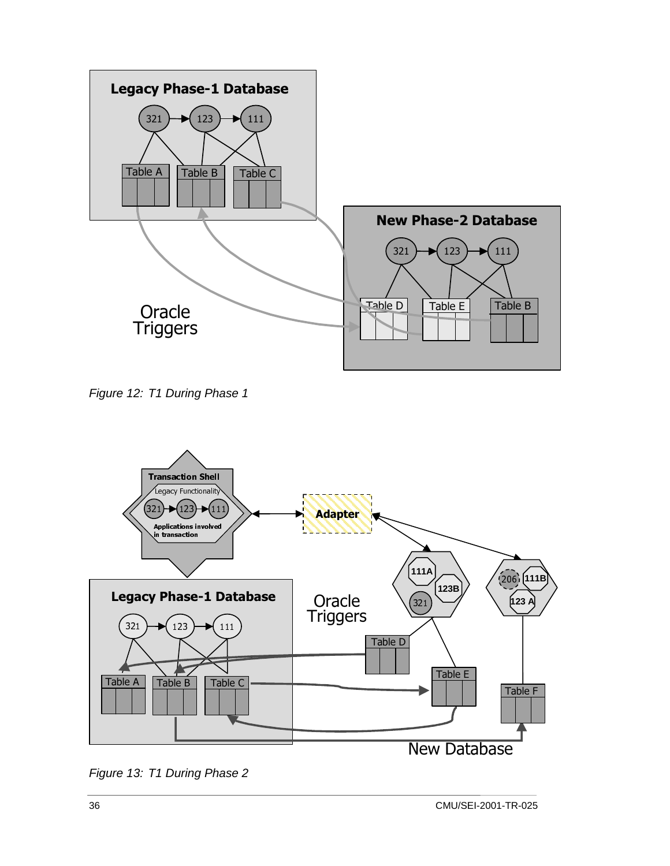

Figure 12: T1 During Phase 1



Figure 13: T1 During Phase 2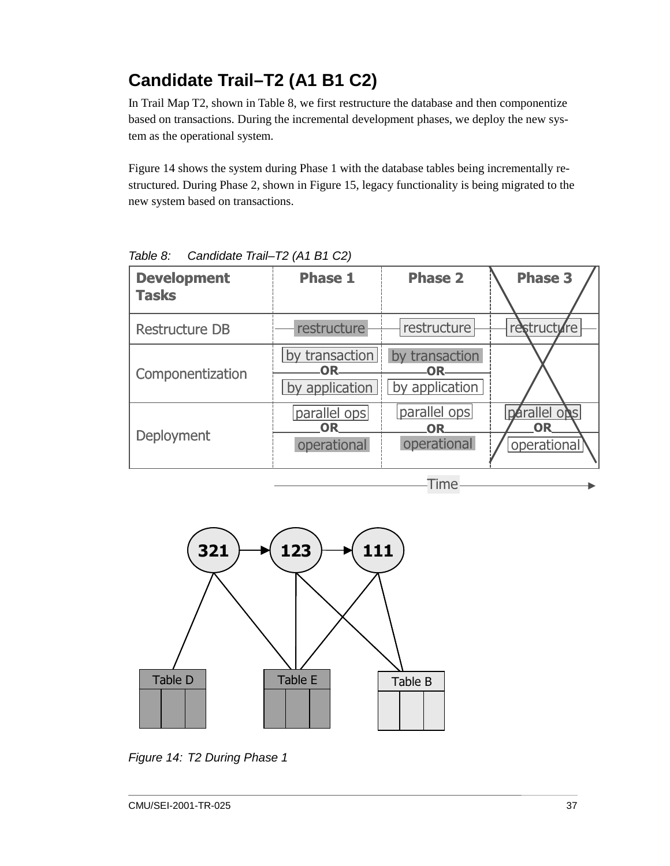## **Candidate Trail–T2 (A1 B1 C2)**

In Trail Map T2, shown in Table 8, we first restructure the database and then componentize based on transactions. During the incremental development phases, we deploy the new system as the operational system.

Figure 14 shows the system during Phase 1 with the database tables being incrementally restructured. During Phase 2, shown in Figure 15, legacy functionality is being migrated to the new system based on transactions.

| <b>Development</b><br><b>Tasks</b> | <b>Phase 1</b>                           | <b>Phase 2</b>                                                                         | <b>Phase 3</b>                     |
|------------------------------------|------------------------------------------|----------------------------------------------------------------------------------------|------------------------------------|
| <b>Restructure DB</b>              | restructure                              | restructure                                                                            | restructure                        |
| Componentization                   | OR-                                      | by transaction by transaction<br>OR-<br>by application $\left  \right $ by application |                                    |
| Deployment                         | parallel ops<br><b>OR</b><br>operational | parallel ops<br>OR<br>operational                                                      | parallel ons<br>OR.<br>operational |

*Table 8: Candidate Trail–T2 (A1 B1 C2)* 

<sup>-</sup>Time-



*Figure 14: T2 During Phase 1*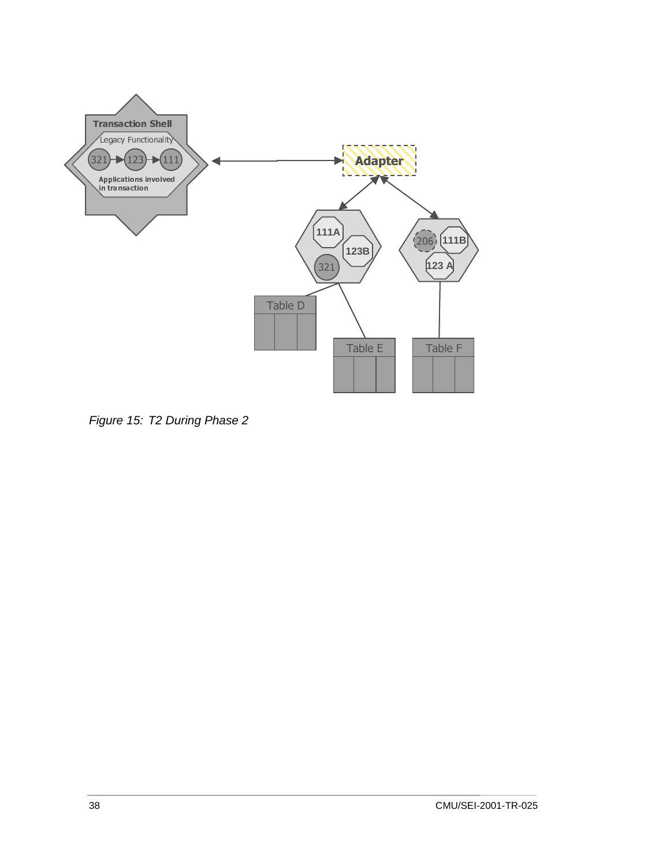

Figure 15: T2 During Phase 2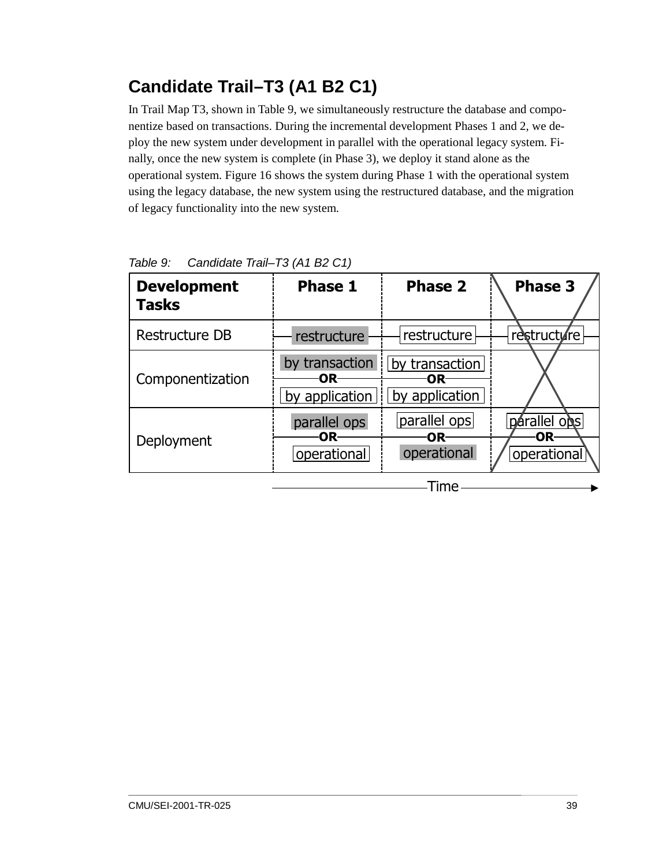#### **Candidate Trail–T3 (A1 B2 C1)**

In Trail Map T3, shown in Table 9, we simultaneously restructure the database and componentize based on transactions. During the incremental development Phases 1 and 2, we deploy the new system under development in parallel with the operational legacy system. Finally, once the new system is complete (in Phase 3), we deploy it stand alone as the operational system. Figure 16 shows the system during Phase 1 with the operational system using the legacy database, the new system using the restructured database, and the migration of legacy functionality into the new system.

| <b>Development</b><br><b>Tasks</b> | <b>Phase 1</b>                          | <b>Phase 2</b>                          | <b>Phase 3</b>                     |  |
|------------------------------------|-----------------------------------------|-----------------------------------------|------------------------------------|--|
| Restructure DB                     | restructure                             | restructure                             | restructure                        |  |
| Componentization                   | by transaction<br>OR-<br>by application | by transaction<br>OR-<br>by application |                                    |  |
| Deployment                         | parallel ops<br>OR-<br>operational      | parallel ops<br>OR-<br>operational      | párallel ops<br>OR-<br>operational |  |
|                                    | Time                                    |                                         |                                    |  |

*Table 9: Candidate Trail–T3 (A1 B2 C1)*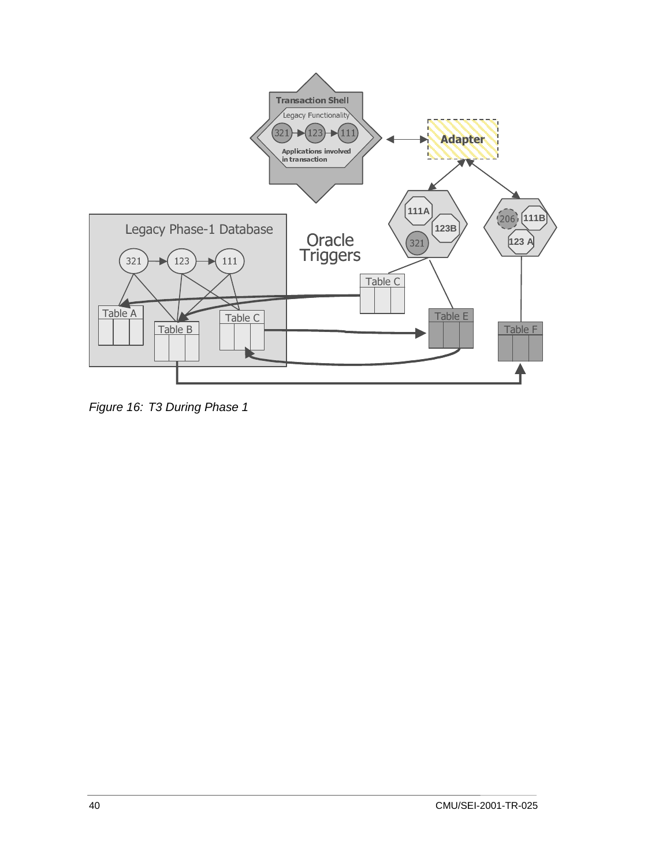

Figure 16: T3 During Phase 1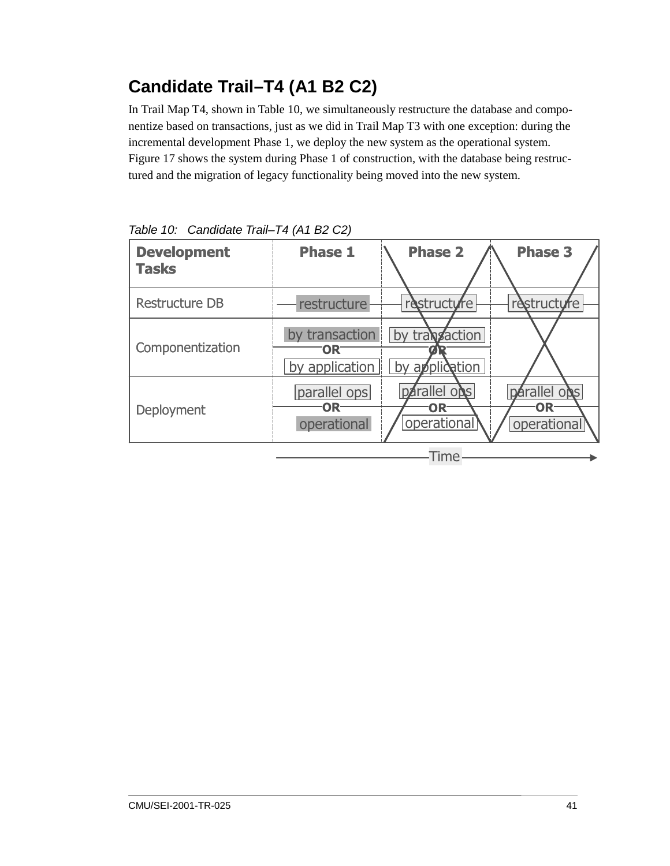#### **Candidate Trail–T4 (A1 B2 C2)**

In Trail Map T4, shown in Table 10, we simultaneously restructure the database and componentize based on transactions, just as we did in Trail Map T3 with one exception: during the incremental development Phase 1, we deploy the new system as the operational system. Figure 17 shows the system during Phase 1 of construction, with the database being restructured and the migration of legacy functionality being moved into the new system.

| <b>Development</b><br><b>Tasks</b> | <b>Phase 1</b>                                | <b>Phase 2</b>                           | <b>Phase 3</b>                           |
|------------------------------------|-----------------------------------------------|------------------------------------------|------------------------------------------|
| <b>Restructure DB</b>              | restructure                                   | restructure                              | restructure                              |
| Componentization                   | by transaction<br><b>OR</b><br>by application | by transaction<br>Ø<br>by application    |                                          |
| Deployment                         | parallel ops<br><b>OR</b><br>operational      | parallel ops<br><b>OR</b><br>operational | parallel ons<br><b>OR</b><br>operational |
|                                    |                                               | Time                                     |                                          |

*Table 10: Candidate Trail–T4 (A1 B2 C2)*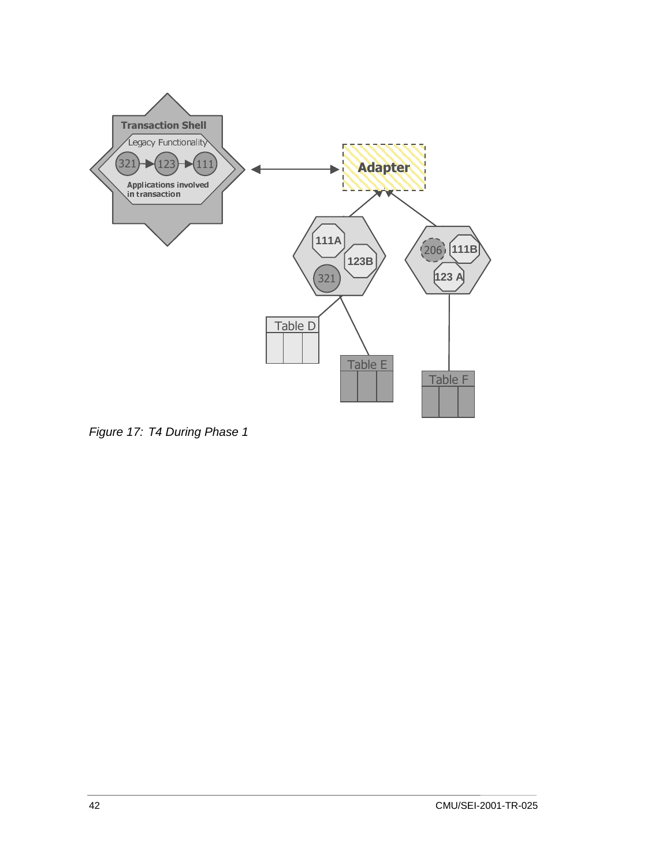

Figure 17: T4 During Phase 1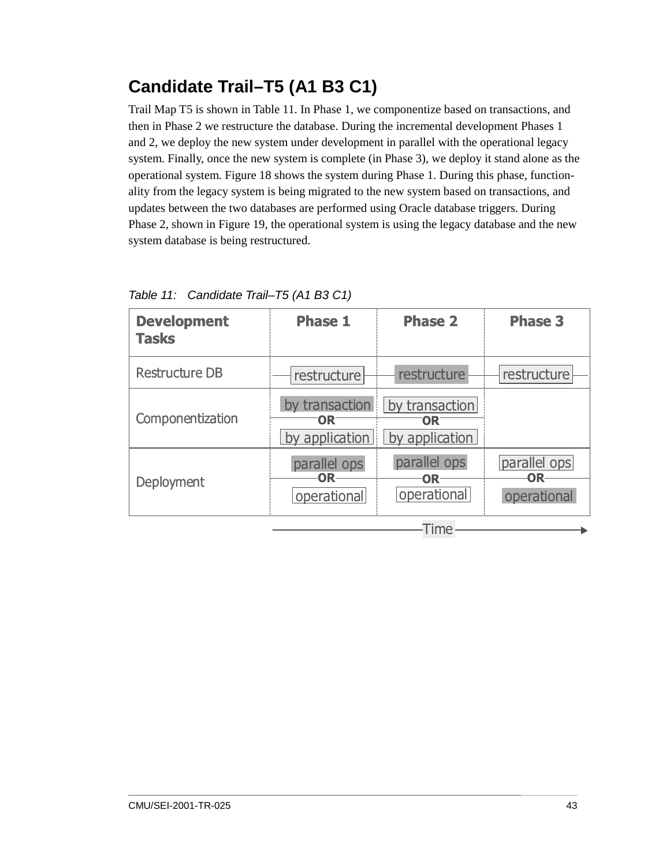#### **Candidate Trail–T5 (A1 B3 C1)**

Trail Map T5 is shown in Table 11. In Phase 1, we componentize based on transactions, and then in Phase 2 we restructure the database. During the incremental development Phases 1 and 2, we deploy the new system under development in parallel with the operational legacy system. Finally, once the new system is complete (in Phase 3), we deploy it stand alone as the operational system. Figure 18 shows the system during Phase 1. During this phase, functionality from the legacy system is being migrated to the new system based on transactions, and updates between the two databases are performed using Oracle database triggers. During Phase 2, shown in Figure 19, the operational system is using the legacy database and the new system database is being restructured.

| <b>Development</b><br><b>Tasks</b> | <b>Phase 1</b>                                      | <b>Phase 2</b>                                | <b>Phase 3</b>                     |  |
|------------------------------------|-----------------------------------------------------|-----------------------------------------------|------------------------------------|--|
| <b>Restructure DB</b>              | restructure                                         | restructure                                   | restructure                        |  |
| Componentization                   | by transaction<br>OR <sup>-</sup><br>by application | by transaction<br><b>OR</b><br>by application |                                    |  |
| Deployment                         | parallel ops<br>OR-<br>operational                  | parallel ops<br>OR-<br>operational            | parallel ops<br>OR-<br>operational |  |
|                                    | Time                                                |                                               |                                    |  |

*Table 11: Candidate Trail–T5 (A1 B3 C1)*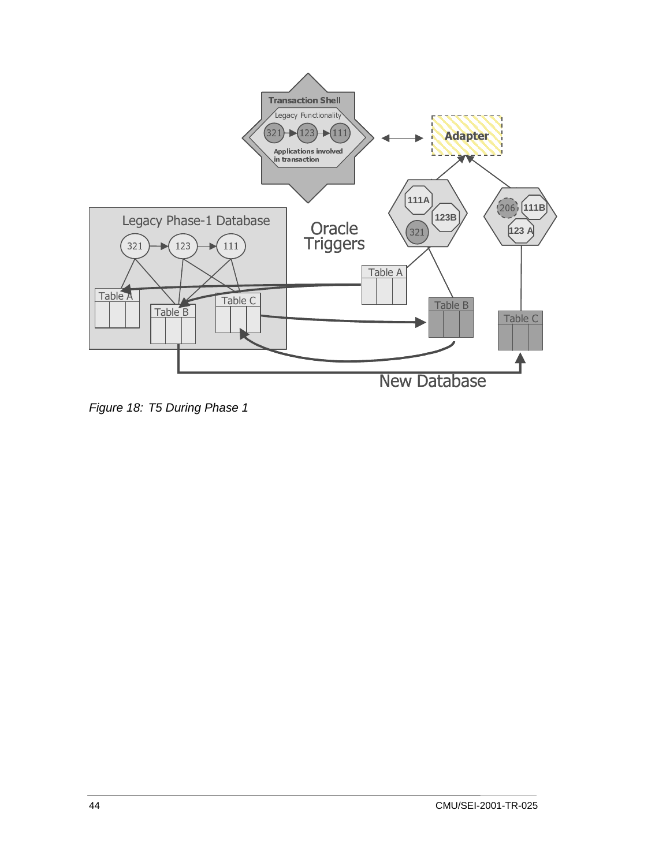

Figure 18: T5 During Phase 1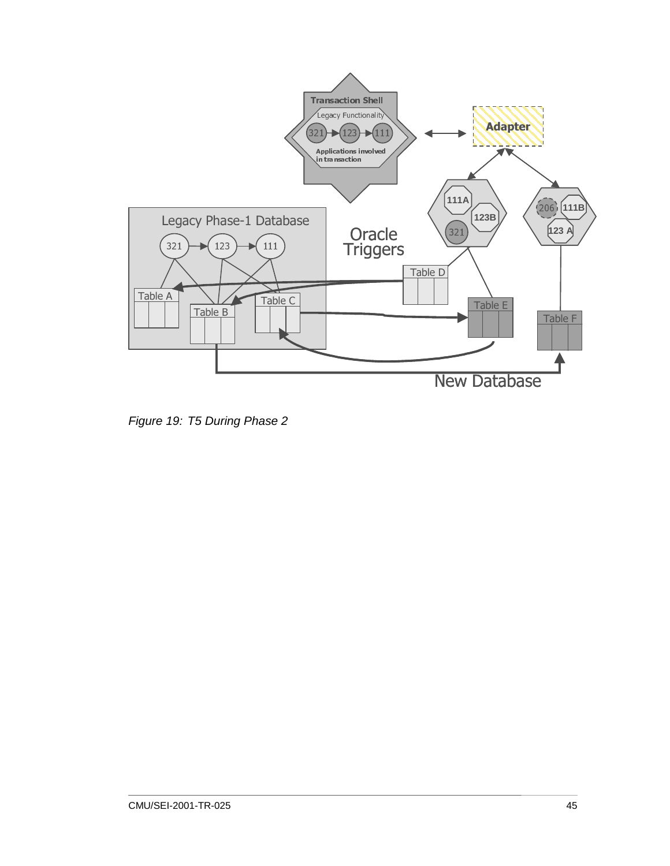

Figure 19: T5 During Phase 2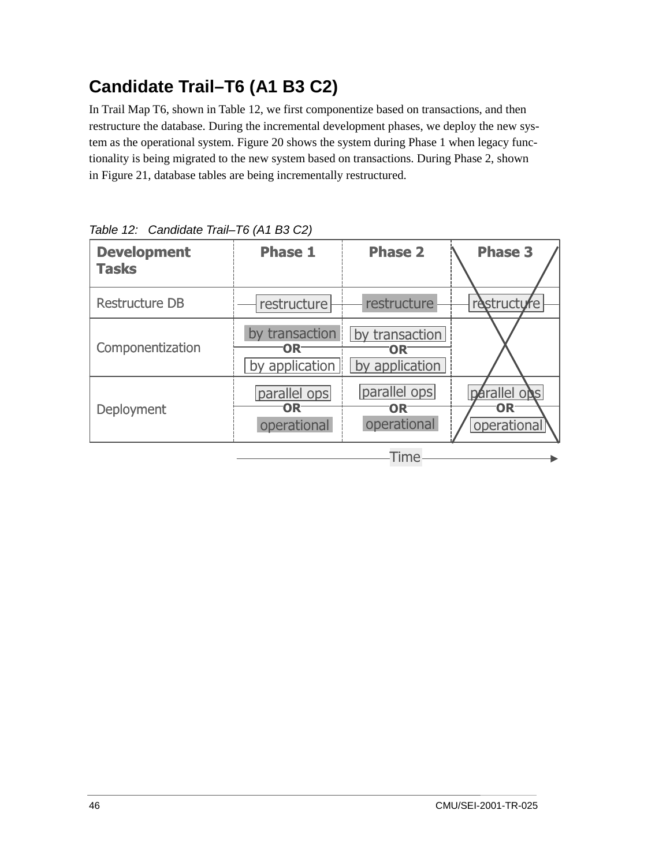#### **Candidate Trail–T6 (A1 B3 C2)**

In Trail Map T6, shown in Table 12, we first componentize based on transactions, and then restructure the database. During the incremental development phases, we deploy the new system as the operational system. Figure 20 shows the system during Phase 1 when legacy functionality is being migrated to the new system based on transactions. During Phase 2, shown in Figure 21, database tables are being incrementally restructured.

| <b>Development</b><br><b>Tasks</b> | <b>Phase 1</b>                                      | <b>Phase 2</b>                                       | <b>Phase 3</b>                           |
|------------------------------------|-----------------------------------------------------|------------------------------------------------------|------------------------------------------|
| <b>Restructure DB</b>              | restructure                                         | restructure                                          | restructure                              |
| Componentization                   | by transaction<br>OR <sup>-</sup><br>by application | by transaction<br>'OR <sup>-</sup><br>by application |                                          |
| Deployment                         | parallel ops<br>OR <sup>-</sup><br>operational      | parallel ops<br><b>OR</b><br>operational             | parallel ons<br><b>OR</b><br>operational |
|                                    |                                                     | Time                                                 |                                          |

*Table 12: Candidate Trail–T6 (A1 B3 C2)*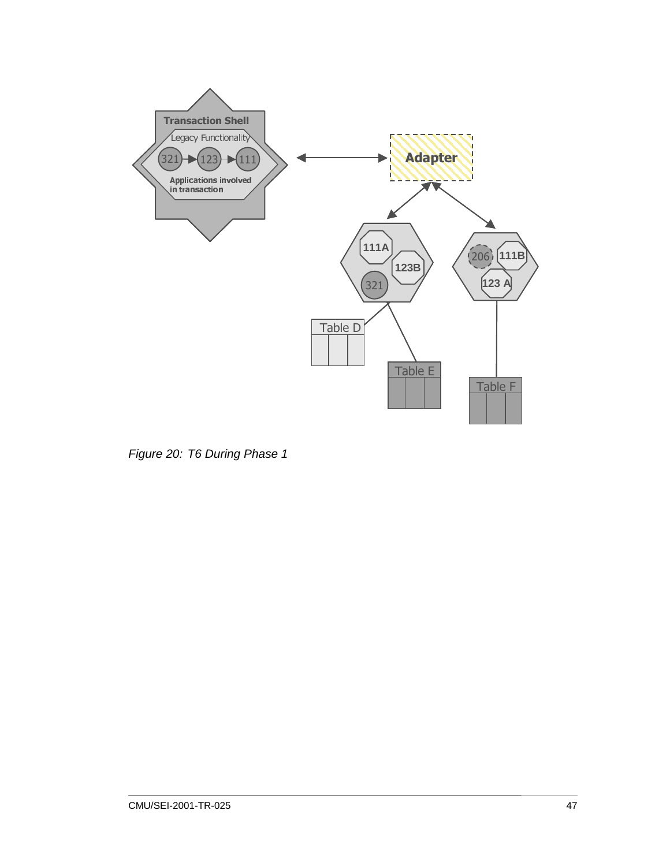

Figure 20: T6 During Phase 1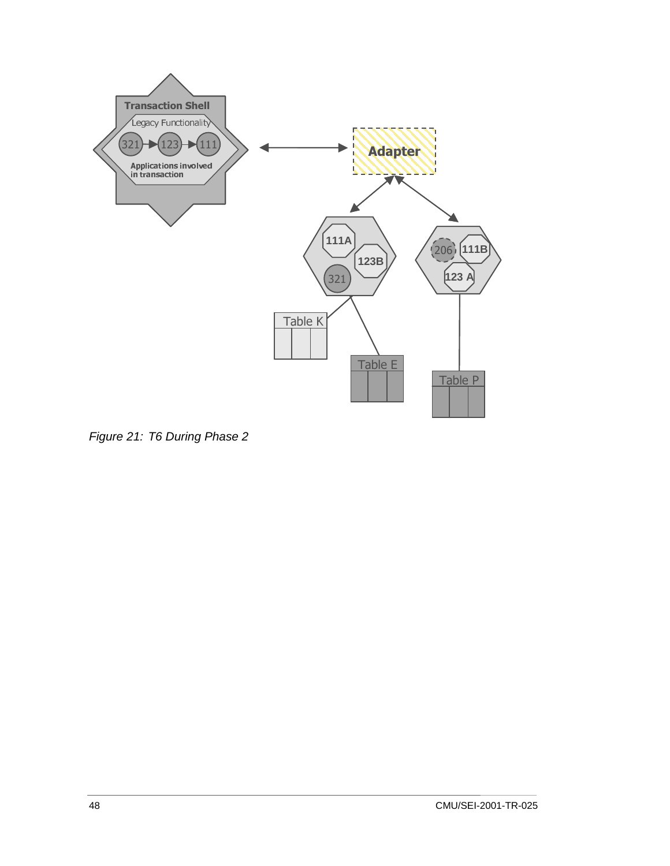

Figure 21: T6 During Phase 2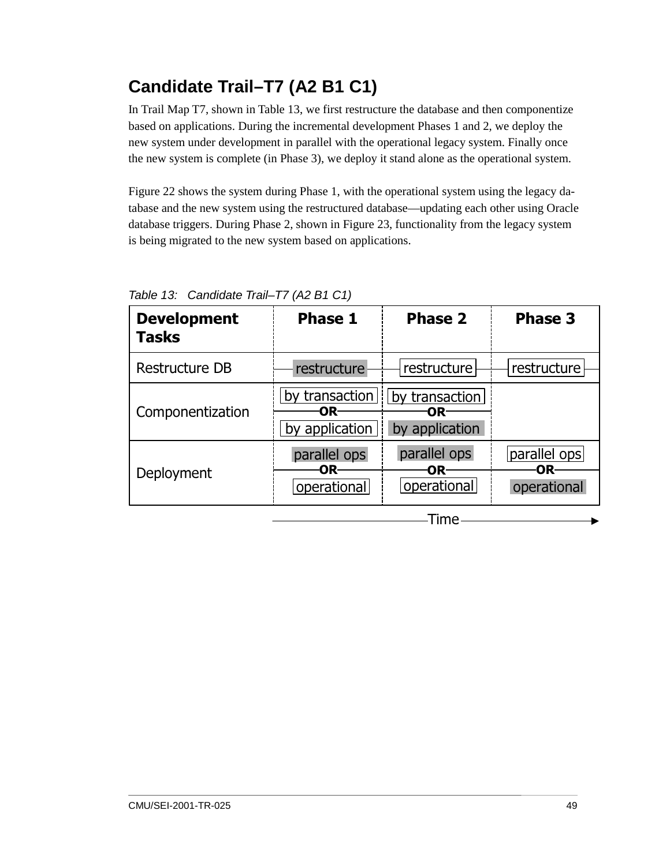## **Candidate Trail–T7 (A2 B1 C1)**

In Trail Map T7, shown in Table 13, we first restructure the database and then componentize based on applications. During the incremental development Phases 1 and 2, we deploy the new system under development in parallel with the operational legacy system. Finally once the new system is complete (in Phase 3), we deploy it stand alone as the operational system.

Figure 22 shows the system during Phase 1, with the operational system using the legacy database and the new system using the restructured database—updating each other using Oracle database triggers. During Phase 2, shown in Figure 23, functionality from the legacy system is being migrated to the new system based on applications.

| <b>Development</b><br><b>Tasks</b> | <b>Phase 1</b>                          | <b>Phase 2</b>                          | <b>Phase 3</b>                     |  |
|------------------------------------|-----------------------------------------|-----------------------------------------|------------------------------------|--|
| Restructure DB                     | restructure                             | restructure                             | restructure                        |  |
| Componentization                   | by transaction<br>OR-<br>by application | by transaction<br>OR-<br>by application |                                    |  |
| Deployment                         | parallel ops<br>∙OR−<br>operational     | parallel ops<br>OR-<br>operational      | parallel ops<br>OR-<br>operational |  |
|                                    | Time                                    |                                         |                                    |  |

*Table 13: Candidate Trail–T7 (A2 B1 C1)*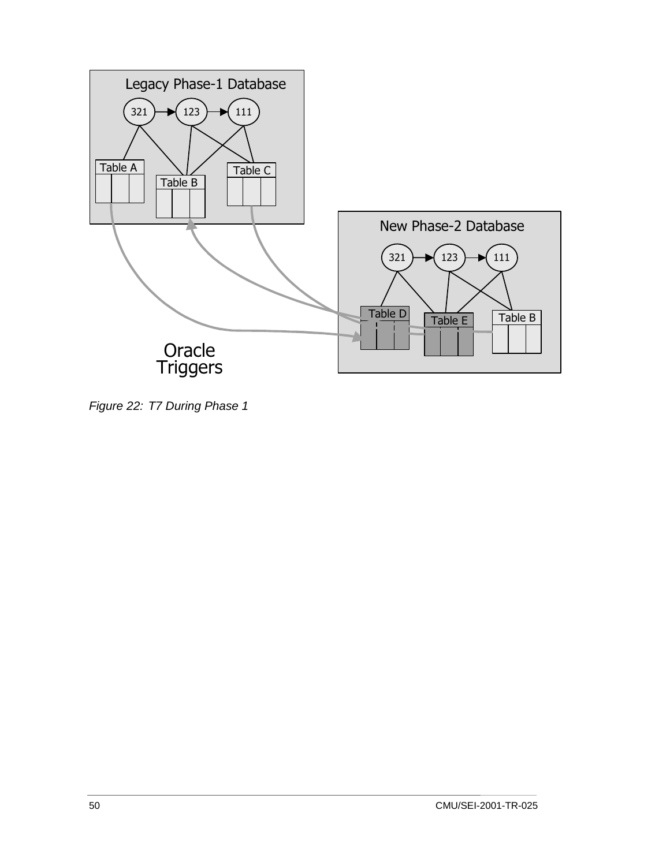

*Figure 22: T7 During Phase 1*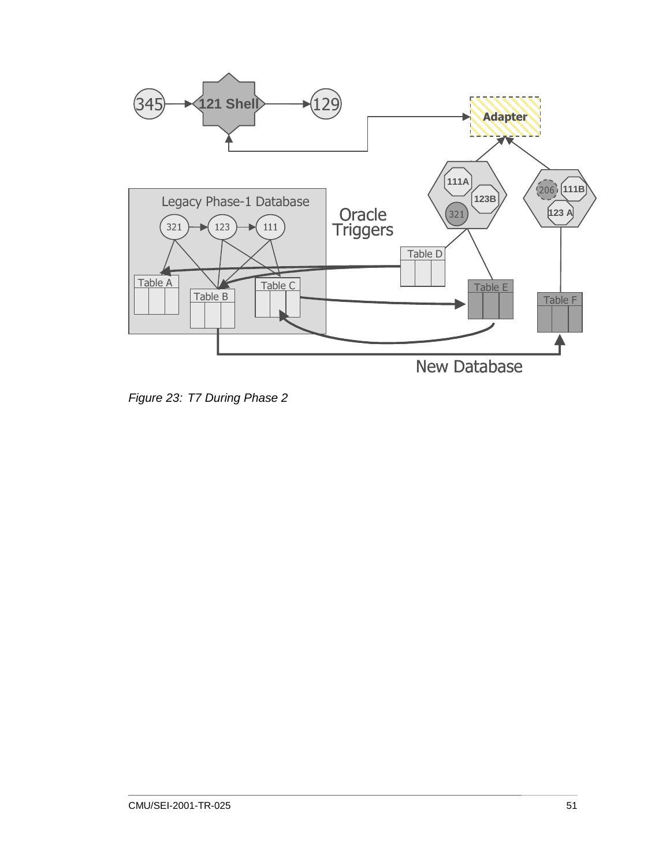

Figure 23: T7 During Phase 2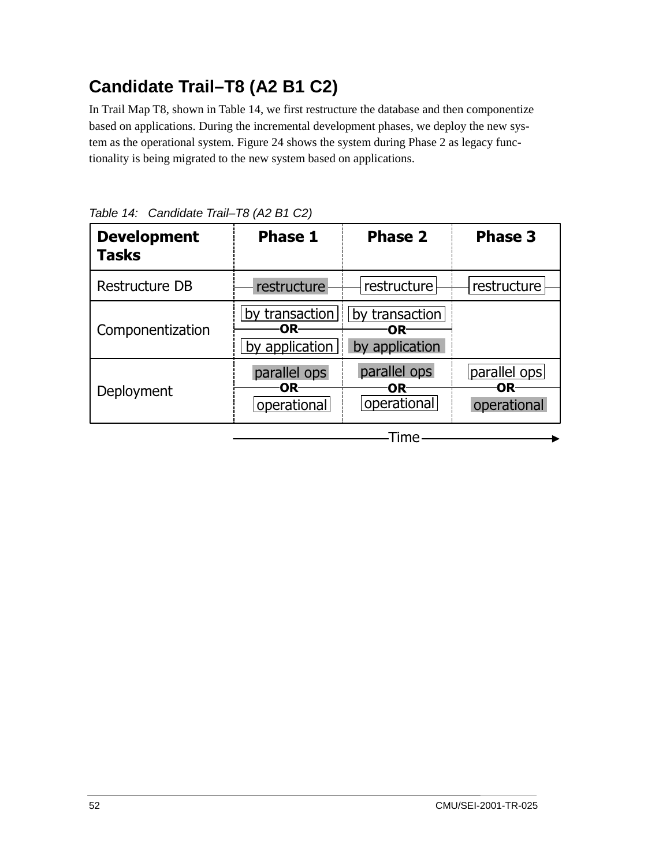#### Candidate Trail-T8 (A2 B1 C2)

In Trail Map T8, shown in Table 14, we first restructure the database and then componentize based on applications. During the incremental development phases, we deploy the new system as the operational system. Figure 24 shows the system during Phase 2 as legacy functionality is being migrated to the new system based on applications.

| <b>Development</b><br><b>Tasks</b> | <b>Phase 1</b>                          | <b>Phase 2</b>                          | <b>Phase 3</b>                     |
|------------------------------------|-----------------------------------------|-----------------------------------------|------------------------------------|
| Restructure DB                     | restructure                             | restructure                             | restructure                        |
| Componentization                   | by transaction<br>OR-<br>by application | by transaction<br>OR-<br>by application |                                    |
| Deployment                         | parallel ops<br>$OR-$<br>operational    | parallel ops<br>∙OR−<br>operational     | parallel ops<br>OR-<br>operational |
|                                    |                                         | Time                                    |                                    |

Table 14: Candidate Trail-T8 (A2 B1 C2)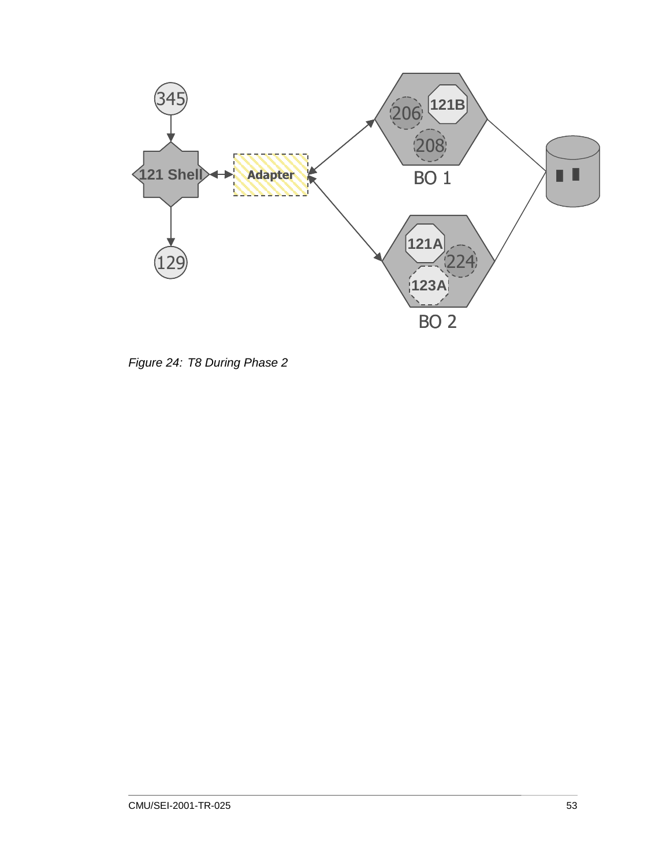

Figure 24: T8 During Phase 2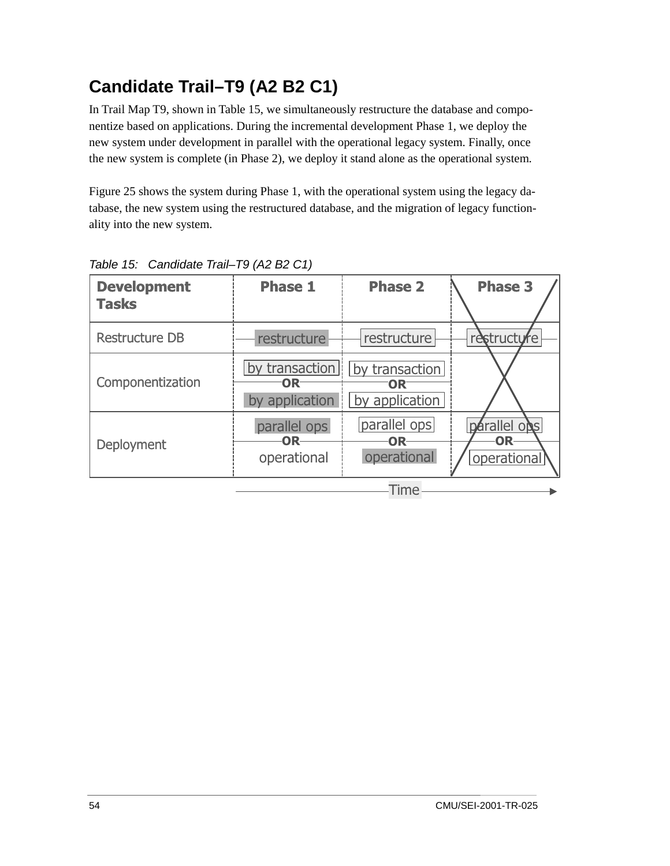#### **Candidate Trail–T9 (A2 B2 C1)**

In Trail Map T9, shown in Table 15, we simultaneously restructure the database and componentize based on applications. During the incremental development Phase 1, we deploy the new system under development in parallel with the operational legacy system. Finally, once the new system is complete (in Phase 2), we deploy it stand alone as the operational system.

Figure 25 shows the system during Phase 1, with the operational system using the legacy database, the new system using the restructured database, and the migration of legacy functionality into the new system.

| <b>Development</b><br><b>Tasks</b> | <b>Phase 1</b>                          | <b>Phase 2</b>                                      | <b>Phase 3</b>                     |
|------------------------------------|-----------------------------------------|-----------------------------------------------------|------------------------------------|
| <b>Restructure DB</b>              | restructure                             | restructure                                         | restructure                        |
| Componentization                   | by transaction<br>OR-<br>by application | by transaction<br>OR <sup>-</sup><br>by application |                                    |
| Deployment                         | parallel ops<br>$-OR-$<br>operational   | parallel ops<br>OR-<br>operational                  | parallel ons<br>OR-<br>operational |
|                                    |                                         | Time                                                |                                    |

*Table 15: Candidate Trail–T9 (A2 B2 C1)*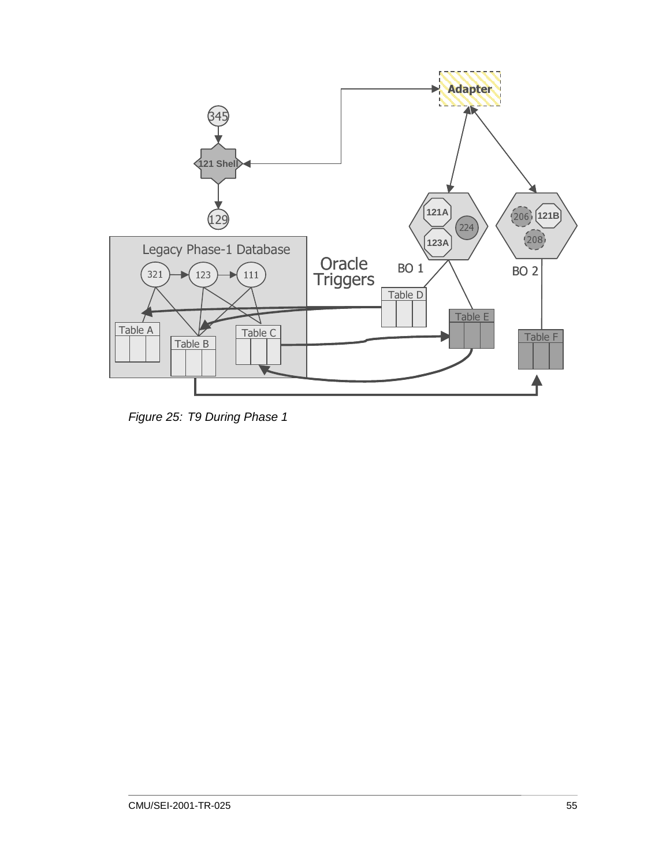

Figure 25: T9 During Phase 1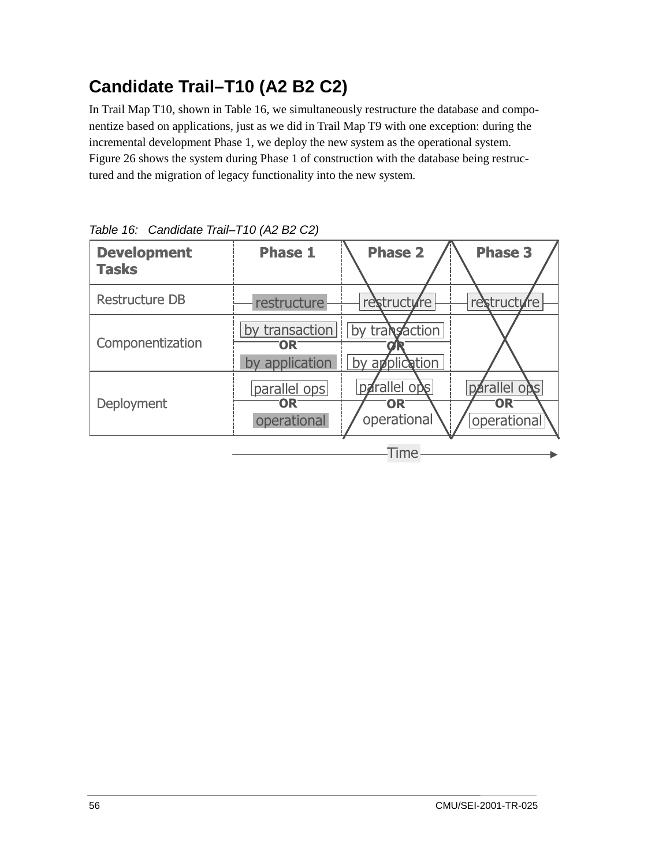#### **Candidate Trail–T10 (A2 B2 C2)**

In Trail Map T10, shown in Table 16, we simultaneously restructure the database and componentize based on applications, just as we did in Trail Map T9 with one exception: during the incremental development Phase 1, we deploy the new system as the operational system. Figure 26 shows the system during Phase 1 of construction with the database being restructured and the migration of legacy functionality into the new system.

| <b>Development</b><br><b>Tasks</b> | <b>Phase 1</b>                                | <b>Phase 2</b><br><b>Phase 3</b>                                                                                             |
|------------------------------------|-----------------------------------------------|------------------------------------------------------------------------------------------------------------------------------|
| <b>Restructure DB</b>              | restructure                                   | restructure<br><i>restructure</i>                                                                                            |
| Componentization                   | by transaction<br><b>OR</b><br>by application | by transaction<br>by application                                                                                             |
| Deployment                         | parallel ops<br><b>OR</b><br>operational      | $p\hat{ }$ arallel ops<br>$p$ <i>arallel</i> $ops$<br><b>OR</b><br>$\mathsf{TOR}^{\mathsf{T}}$<br>operational<br>operational |
|                                    |                                               |                                                                                                                              |

*Table 16: Candidate Trail–T10 (A2 B2 C2)*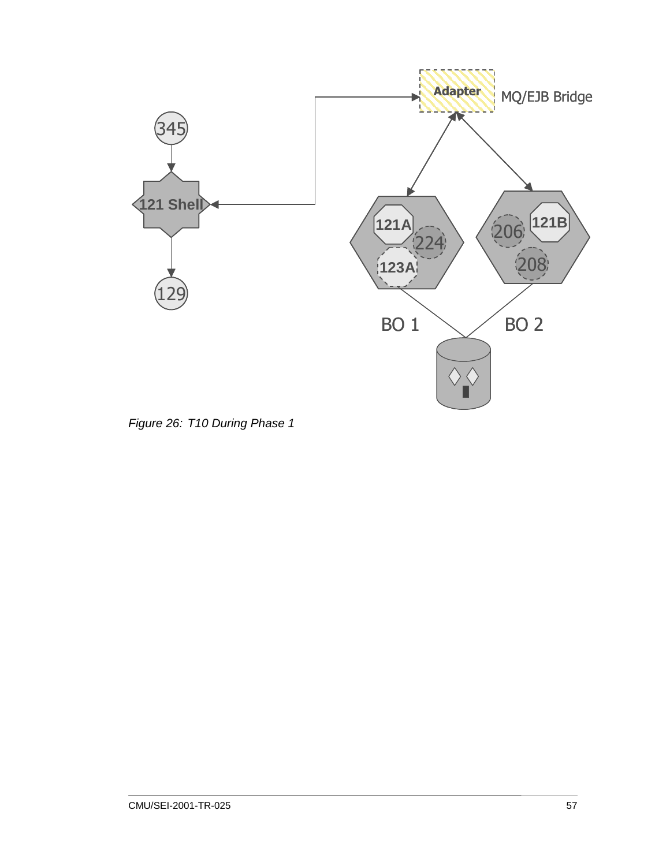

Figure 26: T10 During Phase 1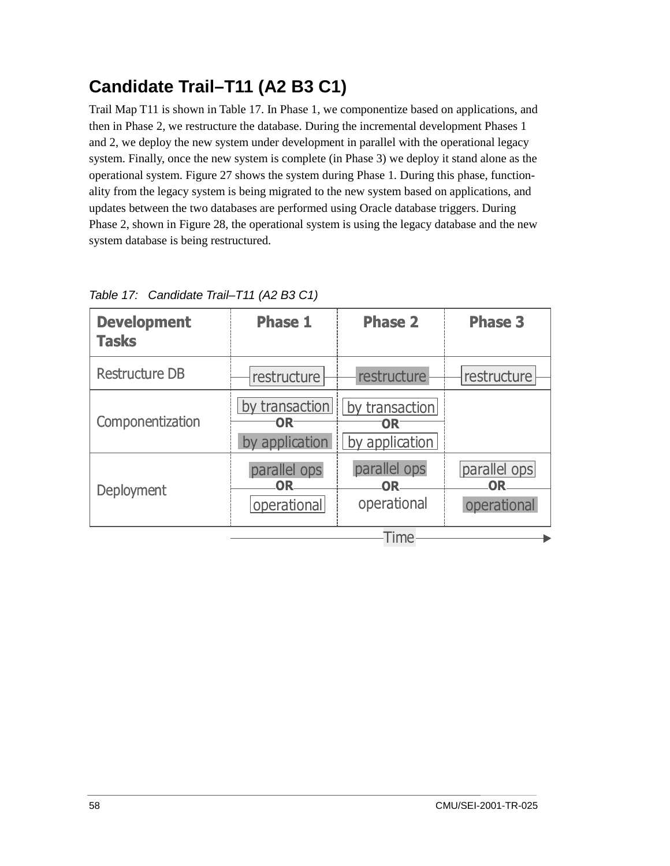#### **Candidate Trail–T11 (A2 B3 C1)**

Trail Map T11 is shown in Table 17. In Phase 1, we componentize based on applications, and then in Phase 2, we restructure the database. During the incremental development Phases 1 and 2, we deploy the new system under development in parallel with the operational legacy system. Finally, once the new system is complete (in Phase 3) we deploy it stand alone as the operational system. Figure 27 shows the system during Phase 1. During this phase, functionality from the legacy system is being migrated to the new system based on applications, and updates between the two databases are performed using Oracle database triggers. During Phase 2, shown in Figure 28, the operational system is using the legacy database and the new system database is being restructured.

| <b>Development</b><br><b>Tasks</b> | <b>Phase 1</b>                                      | <b>Phase 2</b>                                | <b>Phase 3</b>                     |
|------------------------------------|-----------------------------------------------------|-----------------------------------------------|------------------------------------|
| <b>Restructure DB</b>              | restructure                                         | restructure                                   | restructure                        |
| Componentization                   | by transaction<br>OR <sup>-</sup><br>by application | by transaction<br><b>OR</b><br>by application |                                    |
| <b>Deployment</b>                  | parallel ops<br>$.$ OR $-$<br>operational           | parallel ops<br>$-OR$<br>operational          | parallel ops<br>OR.<br>operational |
|                                    | <u> Time</u>                                        |                                               |                                    |

*Table 17: Candidate Trail–T11 (A2 B3 C1)*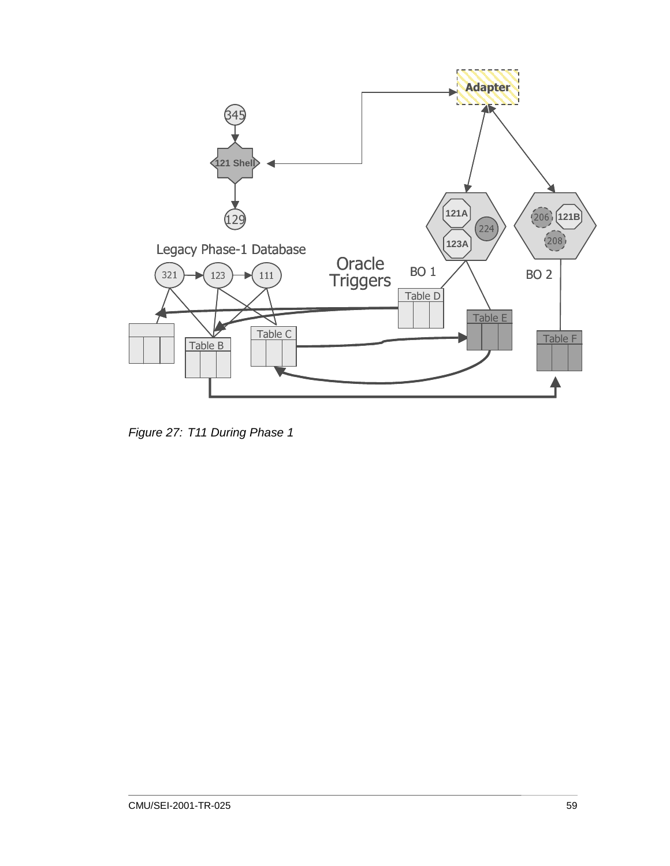

Figure 27: T11 During Phase 1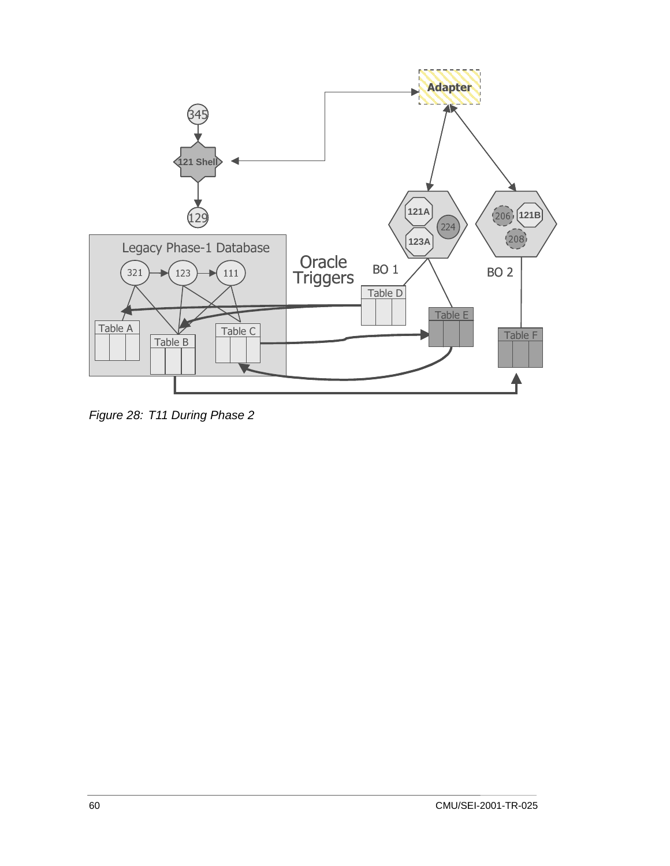

Figure 28: T11 During Phase 2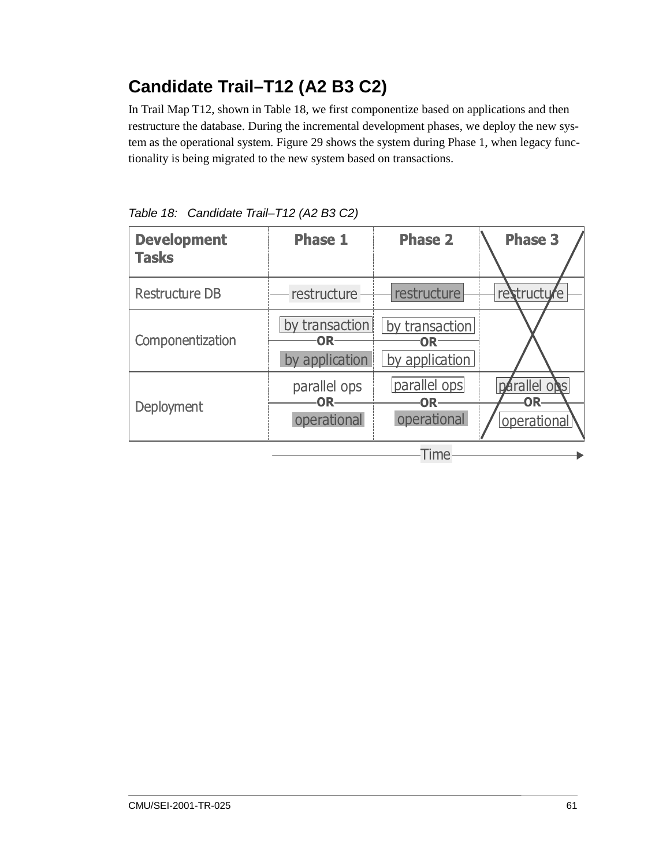## **Candidate Trail–T12 (A2 B3 C2)**

In Trail Map T12, shown in Table 18, we first componentize based on applications and then restructure the database. During the incremental development phases, we deploy the new system as the operational system. Figure 29 shows the system during Phase 1, when legacy functionality is being migrated to the new system based on transactions.

|  | Table 18: Candidate Trail-T12 (A2 B3 C2) |  |  |  |
|--|------------------------------------------|--|--|--|
|--|------------------------------------------|--|--|--|

| <b>Development</b><br><b>Tasks</b> | <b>Phase 1</b>                          | <b>Phase 2</b>                                      | <b>Phase 3</b>                      |
|------------------------------------|-----------------------------------------|-----------------------------------------------------|-------------------------------------|
| <b>Restructure DB</b>              | restructure                             | restructure                                         | restructure                         |
| Componentization                   | by transaction<br>OR-<br>by application | by transaction<br>OR <sup>-</sup><br>by application |                                     |
| <b>Deployment</b>                  | parallel ops<br>$OR$ —<br>operational   | parallel ops<br>OR-<br>operational                  | parallel ons<br>-OR-<br>operational |
|                                    |                                         | -ime                                                |                                     |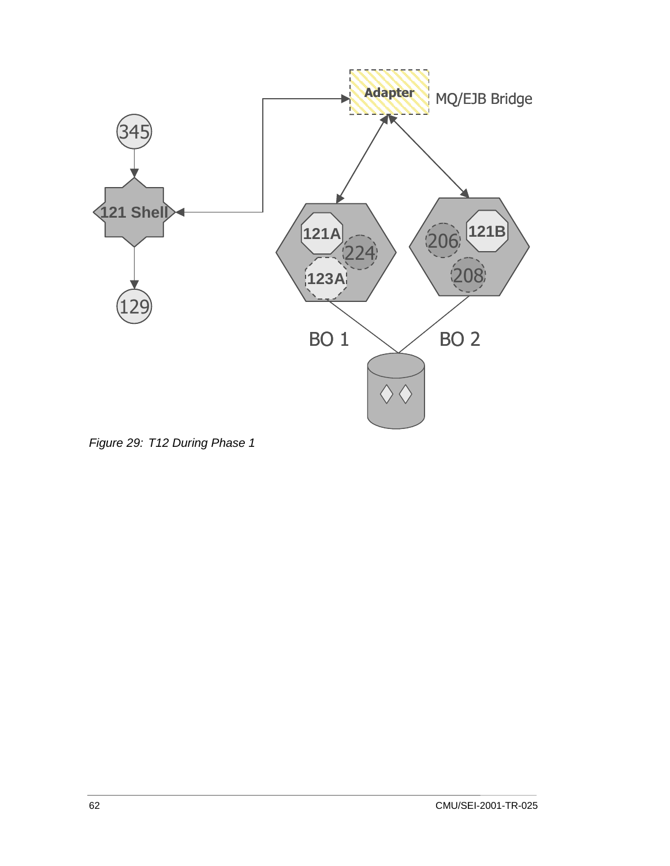

*Figure 29: T12 During Phase 1*